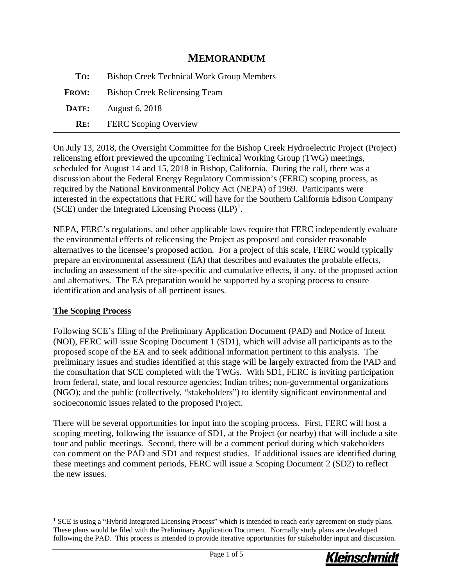## **MEMORANDUM**

| To:          | <b>Bishop Creek Technical Work Group Members</b> |
|--------------|--------------------------------------------------|
| <b>FROM:</b> | <b>Bishop Creek Relicensing Team</b>             |
| DATE:        | August 6, 2018                                   |
| RE:          | <b>FERC</b> Scoping Overview                     |

On July 13, 2018, the Oversight Committee for the Bishop Creek Hydroelectric Project (Project) relicensing effort previewed the upcoming Technical Working Group (TWG) meetings, scheduled for August 14 and 15, 2018 in Bishop, California. During the call, there was a discussion about the Federal Energy Regulatory Commission's (FERC) scoping process, as required by the National Environmental Policy Act (NEPA) of 1969. Participants were interested in the expectations that FERC will have for the Southern California Edison Company (SCE) under the Integrated Licensing Process  $(ILP)^1$  $(ILP)^1$ .

NEPA, FERC's regulations, and other applicable laws require that FERC independently evaluate the environmental effects of relicensing the Project as proposed and consider reasonable alternatives to the licensee's proposed action. For a project of this scale, FERC would typically prepare an environmental assessment (EA) that describes and evaluates the probable effects, including an assessment of the site-specific and cumulative effects, if any, of the proposed action and alternatives. The EA preparation would be supported by a scoping process to ensure identification and analysis of all pertinent issues.

#### **The Scoping Process**

Following SCE's filing of the Preliminary Application Document (PAD) and Notice of Intent (NOI), FERC will issue Scoping Document 1 (SD1), which will advise all participants as to the proposed scope of the EA and to seek additional information pertinent to this analysis. The preliminary issues and studies identified at this stage will be largely extracted from the PAD and the consultation that SCE completed with the TWGs. With SD1, FERC is inviting participation from federal, state, and local resource agencies; Indian tribes; non-governmental organizations (NGO); and the public (collectively, "stakeholders") to identify significant environmental and socioeconomic issues related to the proposed Project.

There will be several opportunities for input into the scoping process. First, FERC will host a scoping meeting, following the issuance of SD1, at the Project (or nearby) that will include a site tour and public meetings. Second, there will be a comment period during which stakeholders can comment on the PAD and SD1 and request studies. If additional issues are identified during these meetings and comment periods, FERC will issue a Scoping Document 2 (SD2) to reflect the new issues.

<span id="page-0-0"></span><sup>&</sup>lt;sup>1</sup> SCE is using a "Hybrid Integrated Licensing Process" which is intended to reach early agreement on study plans. These plans would be filed with the Preliminary Application Document. Normally study plans are developed following the PAD. This process is intended to provide iterative opportunities for stakeholder input and discussion.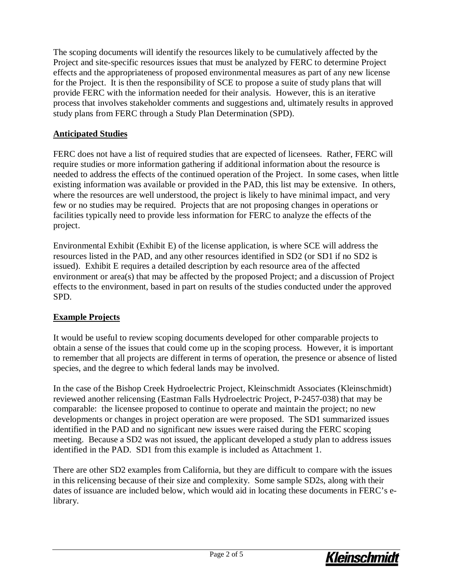The scoping documents will identify the resources likely to be cumulatively affected by the Project and site-specific resources issues that must be analyzed by FERC to determine Project effects and the appropriateness of proposed environmental measures as part of any new license for the Project. It is then the responsibility of SCE to propose a suite of study plans that will provide FERC with the information needed for their analysis. However, this is an iterative process that involves stakeholder comments and suggestions and, ultimately results in approved study plans from FERC through a Study Plan Determination (SPD).

## **Anticipated Studies**

FERC does not have a list of required studies that are expected of licensees. Rather, FERC will require studies or more information gathering if additional information about the resource is needed to address the effects of the continued operation of the Project. In some cases, when little existing information was available or provided in the PAD, this list may be extensive. In others, where the resources are well understood, the project is likely to have minimal impact, and very few or no studies may be required. Projects that are not proposing changes in operations or facilities typically need to provide less information for FERC to analyze the effects of the project.

Environmental Exhibit (Exhibit E) of the license application, is where SCE will address the resources listed in the PAD, and any other resources identified in SD2 (or SD1 if no SD2 is issued). Exhibit E requires a detailed description by each resource area of the affected environment or area(s) that may be affected by the proposed Project; and a discussion of Project effects to the environment, based in part on results of the studies conducted under the approved SPD.

## **Example Projects**

It would be useful to review scoping documents developed for other comparable projects to obtain a sense of the issues that could come up in the scoping process. However, it is important to remember that all projects are different in terms of operation, the presence or absence of listed species, and the degree to which federal lands may be involved.

In the case of the Bishop Creek Hydroelectric Project, Kleinschmidt Associates (Kleinschmidt) reviewed another relicensing (Eastman Falls Hydroelectric Project, P-2457-038) that may be comparable: the licensee proposed to continue to operate and maintain the project; no new developments or changes in project operation are were proposed. The SD1 summarized issues identified in the PAD and no significant new issues were raised during the FERC scoping meeting. Because a SD2 was not issued, the applicant developed a study plan to address issues identified in the PAD. SD1 from this example is included as Attachment 1.

There are other SD2 examples from California, but they are difficult to compare with the issues in this relicensing because of their size and complexity. Some sample SD2s, along with their dates of issuance are included below, which would aid in locating these documents in FERC's elibrary.

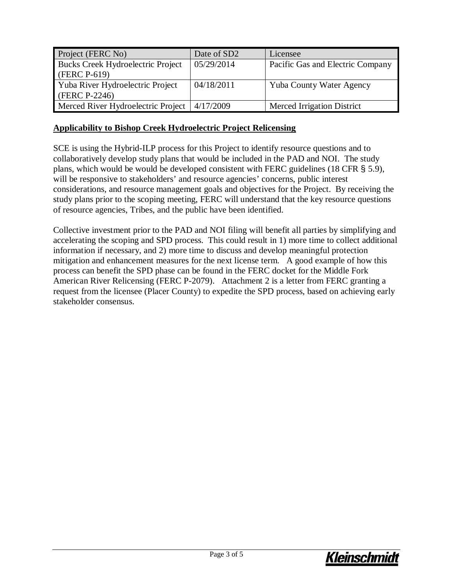| Project (FERC No)                  | Date of SD2 | Licensee                          |
|------------------------------------|-------------|-----------------------------------|
| Bucks Creek Hydroelectric Project  | 05/29/2014  | Pacific Gas and Electric Company  |
| (FERC P-619)                       |             |                                   |
| Yuba River Hydroelectric Project   | 04/18/2011  | Yuba County Water Agency          |
| $(FERC P-2246)$                    |             |                                   |
| Merced River Hydroelectric Project | 4/17/2009   | <b>Merced Irrigation District</b> |

#### **Applicability to Bishop Creek Hydroelectric Project Relicensing**

SCE is using the Hybrid-ILP process for this Project to identify resource questions and to collaboratively develop study plans that would be included in the PAD and NOI. The study plans, which would be would be developed consistent with FERC guidelines (18 CFR § 5.9), will be responsive to stakeholders' and resource agencies' concerns, public interest considerations, and resource management goals and objectives for the Project. By receiving the study plans prior to the scoping meeting, FERC will understand that the key resource questions of resource agencies, Tribes, and the public have been identified.

Collective investment prior to the PAD and NOI filing will benefit all parties by simplifying and accelerating the scoping and SPD process. This could result in 1) more time to collect additional information if necessary, and 2) more time to discuss and develop meaningful protection mitigation and enhancement measures for the next license term. A good example of how this process can benefit the SPD phase can be found in the FERC docket for the Middle Fork American River Relicensing (FERC P-2079). Attachment 2 is a letter from FERC granting a request from the licensee (Placer County) to expedite the SPD process, based on achieving early stakeholder consensus.

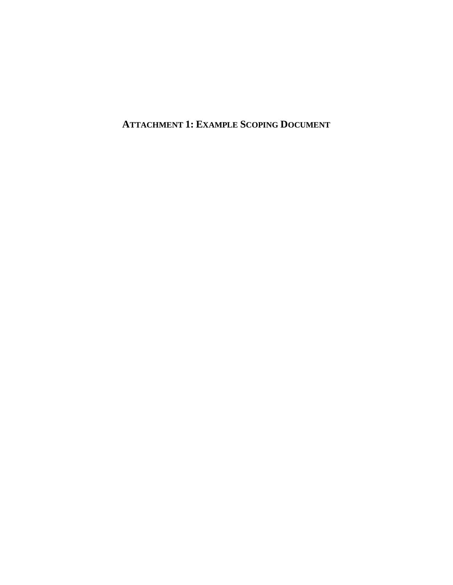**ATTACHMENT 1: EXAMPLE SCOPING DOCUMENT**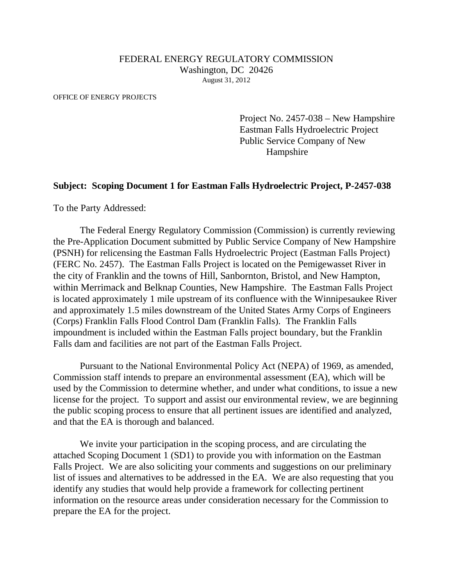#### FEDERAL ENERGY REGULATORY COMMISSION Washington, DC 20426 August 31, 2012

OFFICE OF ENERGY PROJECTS

Project No. 2457-038 – New Hampshire Eastman Falls Hydroelectric Project Public Service Company of New Hampshire

#### **Subject: Scoping Document 1 for Eastman Falls Hydroelectric Project, P-2457-038**

To the Party Addressed:

The Federal Energy Regulatory Commission (Commission) is currently reviewing the Pre-Application Document submitted by Public Service Company of New Hampshire (PSNH) for relicensing the Eastman Falls Hydroelectric Project (Eastman Falls Project) (FERC No. 2457). The Eastman Falls Project is located on the Pemigewasset River in the city of Franklin and the towns of Hill, Sanbornton, Bristol, and New Hampton, within Merrimack and Belknap Counties, New Hampshire. The Eastman Falls Project is located approximately 1 mile upstream of its confluence with the Winnipesaukee River and approximately 1.5 miles downstream of the United States Army Corps of Engineers (Corps) Franklin Falls Flood Control Dam (Franklin Falls). The Franklin Falls impoundment is included within the Eastman Falls project boundary, but the Franklin Falls dam and facilities are not part of the Eastman Falls Project.

Pursuant to the National Environmental Policy Act (NEPA) of 1969, as amended, Commission staff intends to prepare an environmental assessment (EA), which will be used by the Commission to determine whether, and under what conditions, to issue a new license for the project. To support and assist our environmental review, we are beginning the public scoping process to ensure that all pertinent issues are identified and analyzed, and that the EA is thorough and balanced.

We invite your participation in the scoping process, and are circulating the attached Scoping Document 1 (SD1) to provide you with information on the Eastman Falls Project. We are also soliciting your comments and suggestions on our preliminary list of issues and alternatives to be addressed in the EA. We are also requesting that you identify any studies that would help provide a framework for collecting pertinent information on the resource areas under consideration necessary for the Commission to prepare the EA for the project.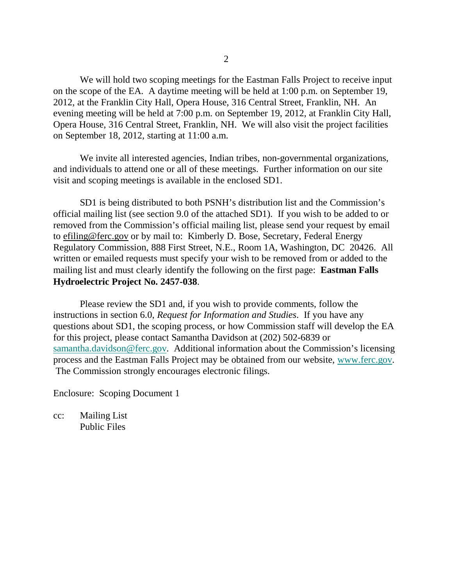We will hold two scoping meetings for the Eastman Falls Project to receive input on the scope of the EA. A daytime meeting will be held at 1:00 p.m. on September 19, 2012, at the Franklin City Hall, Opera House, 316 Central Street, Franklin, NH. An evening meeting will be held at 7:00 p.m. on September 19, 2012, at Franklin City Hall, Opera House, 316 Central Street, Franklin, NH. We will also visit the project facilities on September 18, 2012, starting at 11:00 a.m.

We invite all interested agencies, Indian tribes, non-governmental organizations, and individuals to attend one or all of these meetings. Further information on our site visit and scoping meetings is available in the enclosed SD1.

SD1 is being distributed to both PSNH's distribution list and the Commission's official mailing list (see section 9.0 of the attached SD1). If you wish to be added to or removed from the Commission's official mailing list, please send your request by email to efiling@ferc.gov or by mail to: Kimberly D. Bose, Secretary, Federal Energy Regulatory Commission, 888 First Street, N.E., Room 1A, Washington, DC 20426. All written or emailed requests must specify your wish to be removed from or added to the mailing list and must clearly identify the following on the first page: **Eastman Falls Hydroelectric Project No. 2457-038**.

Please review the SD1 and, if you wish to provide comments, follow the instructions in section 6.0, *Request for Information and Studies*. If you have any questions about SD1, the scoping process, or how Commission staff will develop the EA for this project, please contact Samantha Davidson at (202) 502-6839 or [samantha.davidson@ferc.gov.](mailto:samantha.davidson@ferc.gov) Additional information about the Commission's licensing process and the Eastman Falls Project may be obtained from our website, [www.ferc.gov.](http://www.ferc.gov/) The Commission strongly encourages electronic filings.

Enclosure: Scoping Document 1

cc: Mailing List Public Files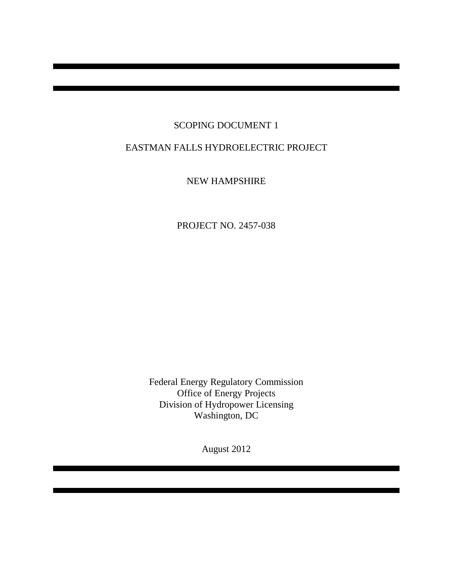## SCOPING DOCUMENT 1

# EASTMAN FALLS HYDROELECTRIC PROJECT

NEW HAMPSHIRE

PROJECT NO. 2457-038

Federal Energy Regulatory Commission Office of Energy Projects Division of Hydropower Licensing Washington, DC

August 2012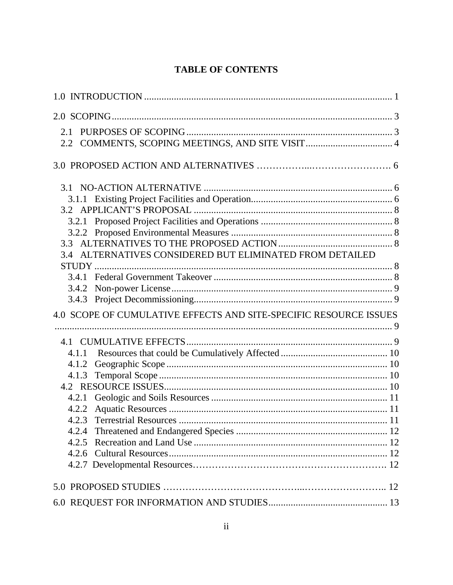# **TABLE OF CONTENTS**

| 3.4 ALTERNATIVES CONSIDERED BUT ELIMINATED FROM DETAILED          |  |
|-------------------------------------------------------------------|--|
|                                                                   |  |
| 3.4.2                                                             |  |
|                                                                   |  |
| 4.0 SCOPE OF CUMULATIVE EFFECTS AND SITE-SPECIFIC RESOURCE ISSUES |  |
|                                                                   |  |
| 4.1.1                                                             |  |
| 4.1.2                                                             |  |
|                                                                   |  |
|                                                                   |  |
|                                                                   |  |
| 4.2.2                                                             |  |
|                                                                   |  |
| 4.2.4                                                             |  |
| 4.2.5                                                             |  |
|                                                                   |  |
|                                                                   |  |
|                                                                   |  |
|                                                                   |  |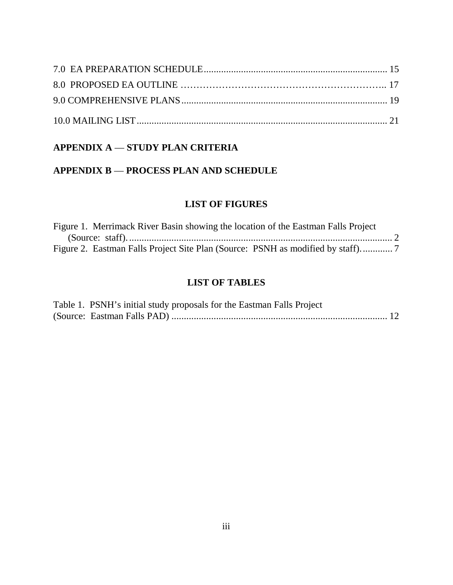# **APPENDIX A** — **STUDY PLAN CRITERIA**

## **APPENDIX B** — **PROCESS PLAN AND SCHEDULE**

## **LIST OF FIGURES**

| Figure 1. Merrimack River Basin showing the location of the Eastman Falls Project |  |
|-----------------------------------------------------------------------------------|--|
|                                                                                   |  |
|                                                                                   |  |

## **LIST OF TABLES**

| Table 1. PSNH's initial study proposals for the Eastman Falls Project |  |
|-----------------------------------------------------------------------|--|
|                                                                       |  |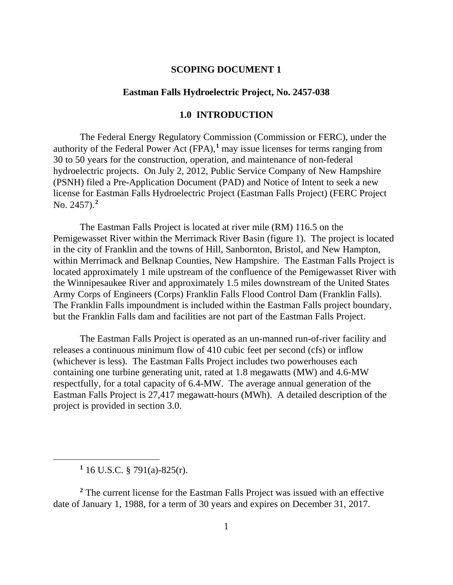#### **SCOPING DOCUMENT 1**

#### **Eastman Falls Hydroelectric Project, No. 2457-038**

## **1.0 INTRODUCTION**

<span id="page-9-0"></span>The Federal Energy Regulatory Commission (Commission or FERC), under the authority of the Federal Power Act  $(FPA)$ ,<sup>[1](#page-9-1)</sup> may issue licenses for terms ranging from 30 to 50 years for the construction, operation, and maintenance of non-federal hydroelectric projects. On July 2, 2012, Public Service Company of New Hampshire (PSNH) filed a Pre-Application Document (PAD) and Notice of Intent to seek a new license for Eastman Falls Hydroelectric Project (Eastman Falls Project) (FERC Project No. 2457).**[2](#page-9-2)**

The Eastman Falls Project is located at river mile (RM) 116.5 on the Pemigewasset River within the Merrimack River Basin (figure 1). The project is located in the city of Franklin and the towns of Hill, Sanbornton, Bristol, and New Hampton, within Merrimack and Belknap Counties, New Hampshire. The Eastman Falls Project is located approximately 1 mile upstream of the confluence of the Pemigewasset River with the Winnipesaukee River and approximately 1.5 miles downstream of the United States Army Corps of Engineers (Corps) Franklin Falls Flood Control Dam (Franklin Falls). The Franklin Falls impoundment is included within the Eastman Falls project boundary, but the Franklin Falls dam and facilities are not part of the Eastman Falls Project.

The Eastman Falls Project is operated as an un-manned run-of-river facility and releases a continuous minimum flow of 410 cubic feet per second (cfs) or inflow (whichever is less). The Eastman Falls Project includes two powerhouses each containing one turbine generating unit, rated at 1.8 megawatts (MW) and 4.6-MW respectfully, for a total capacity of 6.4-MW. The average annual generation of the Eastman Falls Project is 27,417 megawatt-hours (MWh). A detailed description of the project is provided in section 3.0.

<span id="page-9-1"></span> $\overline{a}$ 

<span id="page-9-2"></span>**<sup>2</sup>** The current license for the Eastman Falls Project was issued with an effective date of January 1, 1988, for a term of 30 years and expires on December 31, 2017.

**<sup>1</sup>** 16 U.S.C. § 791(a)-825(r).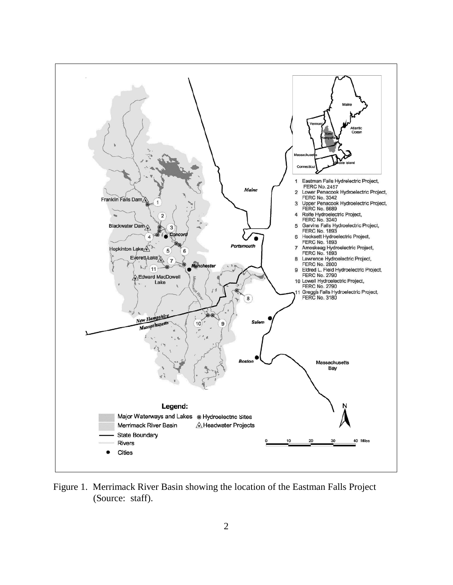<span id="page-10-0"></span>

Figure 1.Merrimack River Basin showing the location of the Eastman Falls Project (Source: staff).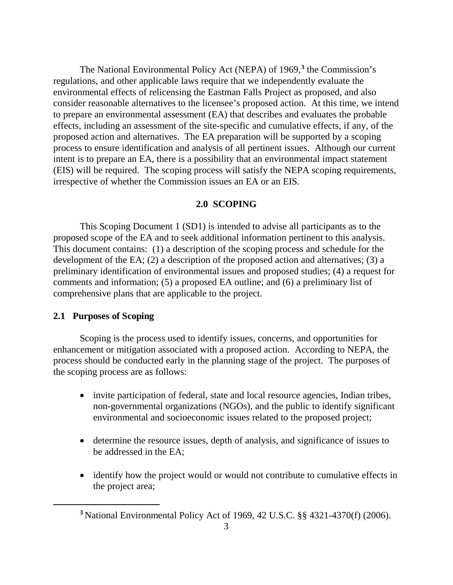The National Environmental Policy Act (NEPA) of 1969,**[3](#page-11-2)** the Commission's regulations, and other applicable laws require that we independently evaluate the environmental effects of relicensing the Eastman Falls Project as proposed, and also consider reasonable alternatives to the licensee's proposed action. At this time, we intend to prepare an environmental assessment (EA) that describes and evaluates the probable effects, including an assessment of the site-specific and cumulative effects, if any, of the proposed action and alternatives. The EA preparation will be supported by a scoping process to ensure identification and analysis of all pertinent issues. Although our current intent is to prepare an EA, there is a possibility that an environmental impact statement (EIS) will be required. The scoping process will satisfy the NEPA scoping requirements, irrespective of whether the Commission issues an EA or an EIS.

#### **2.0 SCOPING**

<span id="page-11-0"></span>This Scoping Document 1 (SD1) is intended to advise all participants as to the proposed scope of the EA and to seek additional information pertinent to this analysis. This document contains: (1) a description of the scoping process and schedule for the development of the EA; (2) a description of the proposed action and alternatives; (3) a preliminary identification of environmental issues and proposed studies; (4) a request for comments and information; (5) a proposed EA outline; and (6) a preliminary list of comprehensive plans that are applicable to the project.

#### <span id="page-11-1"></span>**2.1 Purposes of Scoping**

<span id="page-11-2"></span> $\overline{a}$ 

Scoping is the process used to identify issues, concerns, and opportunities for enhancement or mitigation associated with a proposed action. According to NEPA, the process should be conducted early in the planning stage of the project. The purposes of the scoping process are as follows:

- invite participation of federal, state and local resource agencies, Indian tribes, non-governmental organizations (NGOs), and the public to identify significant environmental and socioeconomic issues related to the proposed project;
- determine the resource issues, depth of analysis, and significance of issues to be addressed in the EA;
- identify how the project would or would not contribute to cumulative effects in the project area;

**<sup>3</sup>** National Environmental Policy Act of 1969, 42 U.S.C. §§ 4321-4370(f) (2006).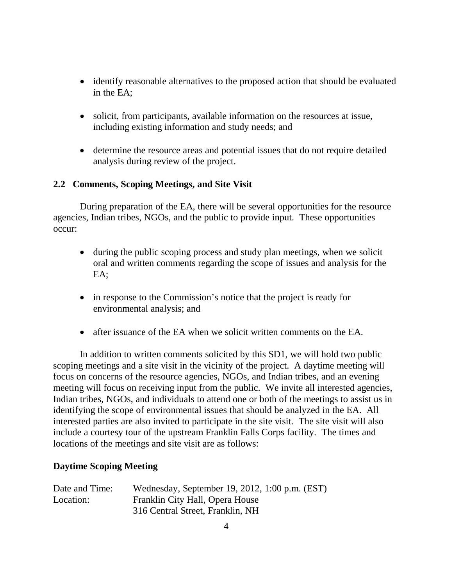- identify reasonable alternatives to the proposed action that should be evaluated in the EA;
- solicit, from participants, available information on the resources at issue, including existing information and study needs; and
- determine the resource areas and potential issues that do not require detailed analysis during review of the project.

## <span id="page-12-0"></span>**2.2 Comments, Scoping Meetings, and Site Visit**

During preparation of the EA, there will be several opportunities for the resource agencies, Indian tribes, NGOs, and the public to provide input. These opportunities occur:

- during the public scoping process and study plan meetings, when we solicit oral and written comments regarding the scope of issues and analysis for the EA;
- in response to the Commission's notice that the project is ready for environmental analysis; and
- after issuance of the EA when we solicit written comments on the EA.

In addition to written comments solicited by this SD1, we will hold two public scoping meetings and a site visit in the vicinity of the project. A daytime meeting will focus on concerns of the resource agencies, NGOs, and Indian tribes, and an evening meeting will focus on receiving input from the public. We invite all interested agencies, Indian tribes, NGOs, and individuals to attend one or both of the meetings to assist us in identifying the scope of environmental issues that should be analyzed in the EA. All interested parties are also invited to participate in the site visit. The site visit will also include a courtesy tour of the upstream Franklin Falls Corps facility. The times and locations of the meetings and site visit are as follows:

#### **Daytime Scoping Meeting**

| Date and Time: | Wednesday, September 19, 2012, 1:00 p.m. (EST) |
|----------------|------------------------------------------------|
| Location:      | Franklin City Hall, Opera House                |
|                | 316 Central Street, Franklin, NH               |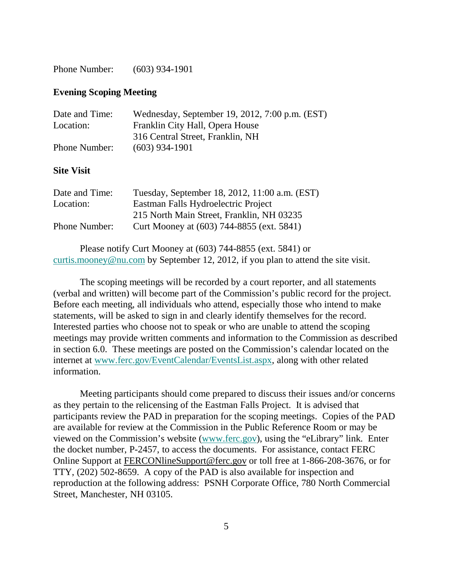Phone Number: (603) 934-1901

#### **Evening Scoping Meeting**

| Date and Time:       | Wednesday, September 19, 2012, 7:00 p.m. (EST) |
|----------------------|------------------------------------------------|
| Location:            | Franklin City Hall, Opera House                |
|                      | 316 Central Street, Franklin, NH               |
| <b>Phone Number:</b> | $(603)$ 934-1901                               |
|                      |                                                |
| <b>Site Visit</b>    |                                                |
| Date and Time:       | Tuesday, September 18, 2012, 11:00 a.m. (EST)  |
| Location:            | Eastman Falls Hydroelectric Project            |
|                      | 215 North Main Street, Franklin, NH 03235      |
| Phone Number:        | Curt Mooney at (603) 744-8855 (ext. 5841)      |

Please notify Curt Mooney at (603) 744-8855 (ext. 5841) or [curtis.mooney@nu.com](mailto:curtis.mooney@nu.com) by September 12, 2012, if you plan to attend the site visit.

The scoping meetings will be recorded by a court reporter, and all statements (verbal and written) will become part of the Commission's public record for the project. Before each meeting, all individuals who attend, especially those who intend to make statements, will be asked to sign in and clearly identify themselves for the record. Interested parties who choose not to speak or who are unable to attend the scoping meetings may provide written comments and information to the Commission as described in section 6.0. These meetings are posted on the Commission's calendar located on the internet at [www.ferc.gov/EventCalendar/EventsList.aspx,](http://www.ferc.gov/EventCalendar/EventsList.aspx) along with other related information.

Meeting participants should come prepared to discuss their issues and/or concerns as they pertain to the relicensing of the Eastman Falls Project. It is advised that participants review the PAD in preparation for the scoping meetings. Copies of the PAD are available for review at the Commission in the Public Reference Room or may be viewed on the Commission's website [\(www.ferc.gov\)](http://www.ferc.gov/), using the "eLibrary" link. Enter the docket number, P-2457, to access the documents. For assistance, contact FERC Online Support at [FERCONlineSupport@ferc.gov](mailto:FERCONlineSupport@ferc.gov) or toll free at 1-866-208-3676, or for TTY, (202) 502-8659. A copy of the PAD is also available for inspection and reproduction at the following address: PSNH Corporate Office, 780 North Commercial Street, Manchester, NH 03105.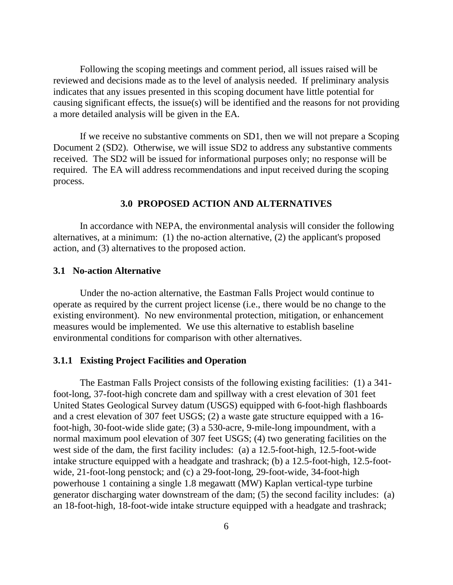Following the scoping meetings and comment period, all issues raised will be reviewed and decisions made as to the level of analysis needed. If preliminary analysis indicates that any issues presented in this scoping document have little potential for causing significant effects, the issue(s) will be identified and the reasons for not providing a more detailed analysis will be given in the EA.

If we receive no substantive comments on SD1, then we will not prepare a Scoping Document 2 (SD2). Otherwise, we will issue SD2 to address any substantive comments received. The SD2 will be issued for informational purposes only; no response will be required. The EA will address recommendations and input received during the scoping process.

#### **3.0 PROPOSED ACTION AND ALTERNATIVES**

In accordance with NEPA, the environmental analysis will consider the following alternatives, at a minimum: (1) the no-action alternative, (2) the applicant's proposed action, and (3) alternatives to the proposed action.

#### <span id="page-14-0"></span>**3.1 No-action Alternative**

Under the no-action alternative, the Eastman Falls Project would continue to operate as required by the current project license (i.e., there would be no change to the existing environment). No new environmental protection, mitigation, or enhancement measures would be implemented. We use this alternative to establish baseline environmental conditions for comparison with other alternatives.

#### <span id="page-14-1"></span>**3.1.1 Existing Project Facilities and Operation**

The Eastman Falls Project consists of the following existing facilities: (1) a 341 foot-long, 37-foot-high concrete dam and spillway with a crest elevation of 301 feet United States Geological Survey datum (USGS) equipped with 6-foot-high flashboards and a crest elevation of 307 feet USGS; (2) a waste gate structure equipped with a 16 foot-high, 30-foot-wide slide gate; (3) a 530-acre, 9-mile-long impoundment, with a normal maximum pool elevation of 307 feet USGS; (4) two generating facilities on the west side of the dam, the first facility includes: (a) a 12.5-foot-high, 12.5-foot-wide intake structure equipped with a headgate and trashrack; (b) a 12.5-foot-high, 12.5-footwide, 21-foot-long penstock; and (c) a 29-foot-long, 29-foot-wide, 34-foot-high powerhouse 1 containing a single 1.8 megawatt (MW) Kaplan vertical-type turbine generator discharging water downstream of the dam; (5) the second facility includes: (a) an 18-foot-high, 18-foot-wide intake structure equipped with a headgate and trashrack;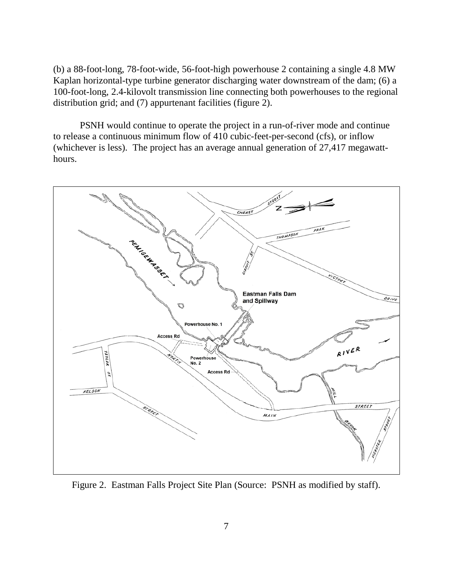(b) a 88-foot-long, 78-foot-wide, 56-foot-high powerhouse 2 containing a single 4.8 MW Kaplan horizontal-type turbine generator discharging water downstream of the dam; (6) a 100-foot-long, 2.4-kilovolt transmission line connecting both powerhouses to the regional distribution grid; and (7) appurtenant facilities (figure 2).

PSNH would continue to operate the project in a run-of-river mode and continue to release a continuous minimum flow of 410 cubic-feet-per-second (cfs), or inflow (whichever is less). The project has an average annual generation of 27,417 megawatthours.



<span id="page-15-0"></span>Figure 2. Eastman Falls Project Site Plan (Source: PSNH as modified by staff).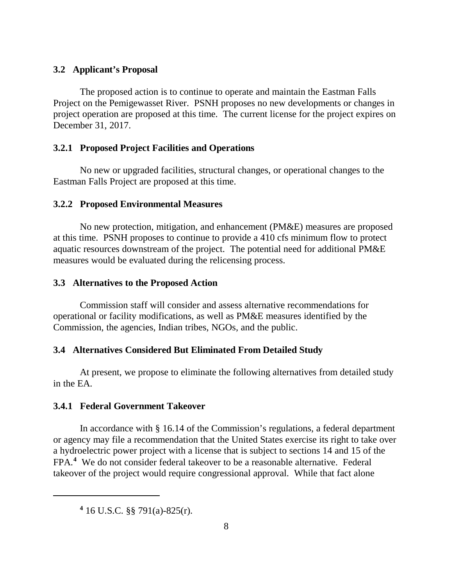#### <span id="page-16-0"></span>**3.2 Applicant's Proposal**

The proposed action is to continue to operate and maintain the Eastman Falls Project on the Pemigewasset River. PSNH proposes no new developments or changes in project operation are proposed at this time. The current license for the project expires on December 31, 2017.

#### <span id="page-16-1"></span>**3.2.1 Proposed Project Facilities and Operations**

No new or upgraded facilities, structural changes, or operational changes to the Eastman Falls Project are proposed at this time.

#### <span id="page-16-2"></span>**3.2.2 Proposed Environmental Measures**

No new protection, mitigation, and enhancement (PM&E) measures are proposed at this time. PSNH proposes to continue to provide a 410 cfs minimum flow to protect aquatic resources downstream of the project. The potential need for additional PM&E measures would be evaluated during the relicensing process.

#### <span id="page-16-3"></span>**3.3 Alternatives to the Proposed Action**

Commission staff will consider and assess alternative recommendations for operational or facility modifications, as well as PM&E measures identified by the Commission, the agencies, Indian tribes, NGOs, and the public.

#### <span id="page-16-4"></span>**3.4 Alternatives Considered But Eliminated From Detailed Study**

At present, we propose to eliminate the following alternatives from detailed study in the EA.

#### <span id="page-16-5"></span>**3.4.1 Federal Government Takeover**

In accordance with § 16.14 of the Commission's regulations, a federal department or agency may file a recommendation that the United States exercise its right to take over a hydroelectric power project with a license that is subject to sections 14 and 15 of the FPA.**[4](#page-16-6)** We do not consider federal takeover to be a reasonable alternative. Federal takeover of the project would require congressional approval. While that fact alone

<span id="page-16-6"></span> $\overline{a}$ 

**<sup>4</sup>** 16 U.S.C. §§ 791(a)-825(r).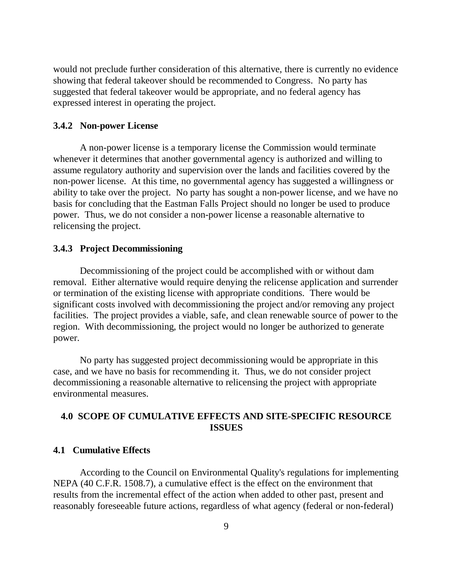would not preclude further consideration of this alternative, there is currently no evidence showing that federal takeover should be recommended to Congress. No party has suggested that federal takeover would be appropriate, and no federal agency has expressed interest in operating the project.

#### <span id="page-17-0"></span>**3.4.2 Non-power License**

A non-power license is a temporary license the Commission would terminate whenever it determines that another governmental agency is authorized and willing to assume regulatory authority and supervision over the lands and facilities covered by the non-power license. At this time, no governmental agency has suggested a willingness or ability to take over the project. No party has sought a non-power license, and we have no basis for concluding that the Eastman Falls Project should no longer be used to produce power. Thus, we do not consider a non-power license a reasonable alternative to relicensing the project.

#### <span id="page-17-1"></span>**3.4.3 Project Decommissioning**

Decommissioning of the project could be accomplished with or without dam removal. Either alternative would require denying the relicense application and surrender or termination of the existing license with appropriate conditions. There would be significant costs involved with decommissioning the project and/or removing any project facilities. The project provides a viable, safe, and clean renewable source of power to the region. With decommissioning, the project would no longer be authorized to generate power.

No party has suggested project decommissioning would be appropriate in this case, and we have no basis for recommending it. Thus, we do not consider project decommissioning a reasonable alternative to relicensing the project with appropriate environmental measures.

## <span id="page-17-2"></span>**4.0 SCOPE OF CUMULATIVE EFFECTS AND SITE-SPECIFIC RESOURCE ISSUES**

#### <span id="page-17-3"></span>**4.1 Cumulative Effects**

According to the Council on Environmental Quality's regulations for implementing NEPA (40 C.F.R. 1508.7), a cumulative effect is the effect on the environment that results from the incremental effect of the action when added to other past, present and reasonably foreseeable future actions, regardless of what agency (federal or non-federal)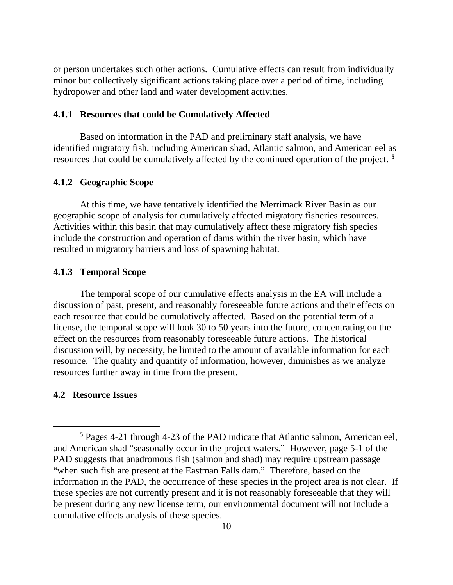or person undertakes such other actions. Cumulative effects can result from individually minor but collectively significant actions taking place over a period of time, including hydropower and other land and water development activities.

#### <span id="page-18-0"></span>**4.1.1 Resources that could be Cumulatively Affected**

Based on information in the PAD and preliminary staff analysis, we have identified migratory fish, including American shad, Atlantic salmon, and American eel as resources that could be cumulatively affected by the continued operation of the project. **[5](#page-18-4)**

#### <span id="page-18-1"></span>**4.1.2 Geographic Scope**

At this time, we have tentatively identified the Merrimack River Basin as our geographic scope of analysis for cumulatively affected migratory fisheries resources. Activities within this basin that may cumulatively affect these migratory fish species include the construction and operation of dams within the river basin, which have resulted in migratory barriers and loss of spawning habitat.

#### <span id="page-18-2"></span>**4.1.3 Temporal Scope**

The temporal scope of our cumulative effects analysis in the EA will include a discussion of past, present, and reasonably foreseeable future actions and their effects on each resource that could be cumulatively affected. Based on the potential term of a license, the temporal scope will look 30 to 50 years into the future, concentrating on the effect on the resources from reasonably foreseeable future actions. The historical discussion will, by necessity, be limited to the amount of available information for each resource. The quality and quantity of information, however, diminishes as we analyze resources further away in time from the present.

#### <span id="page-18-3"></span>**4.2 Resource Issues**

 $\overline{a}$ 

<span id="page-18-4"></span>**<sup>5</sup>** Pages 4-21 through 4-23 of the PAD indicate that Atlantic salmon, American eel, and American shad "seasonally occur in the project waters." However, page 5-1 of the PAD suggests that anadromous fish (salmon and shad) may require upstream passage "when such fish are present at the Eastman Falls dam." Therefore, based on the information in the PAD, the occurrence of these species in the project area is not clear. If these species are not currently present and it is not reasonably foreseeable that they will be present during any new license term, our environmental document will not include a cumulative effects analysis of these species.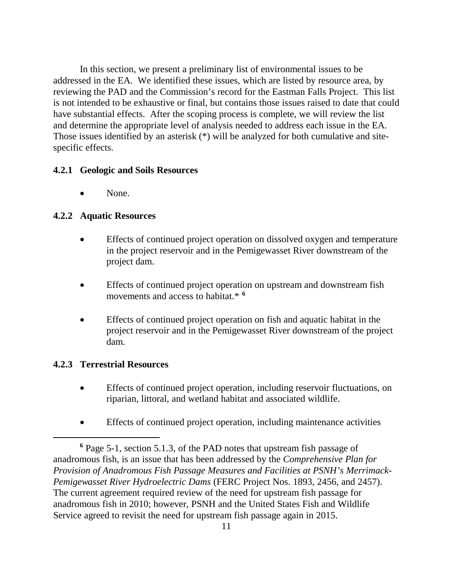In this section, we present a preliminary list of environmental issues to be addressed in the EA. We identified these issues, which are listed by resource area, by reviewing the PAD and the Commission's record for the Eastman Falls Project. This list is not intended to be exhaustive or final, but contains those issues raised to date that could have substantial effects. After the scoping process is complete, we will review the list and determine the appropriate level of analysis needed to address each issue in the EA. Those issues identified by an asterisk (\*) will be analyzed for both cumulative and sitespecific effects.

#### <span id="page-19-0"></span>**4.2.1 Geologic and Soils Resources**

• None.

## <span id="page-19-1"></span>**4.2.2 Aquatic Resources**

- Effects of continued project operation on dissolved oxygen and temperature in the project reservoir and in the Pemigewasset River downstream of the project dam.
- Effects of continued project operation on upstream and downstream fish movements and access to habitat.\* **[6](#page-19-3)**
- Effects of continued project operation on fish and aquatic habitat in the project reservoir and in the Pemigewasset River downstream of the project dam.

## <span id="page-19-2"></span>**4.2.3 Terrestrial Resources**

 $\overline{a}$ 

- Effects of continued project operation, including reservoir fluctuations, on riparian, littoral, and wetland habitat and associated wildlife.
- Effects of continued project operation, including maintenance activities

<span id="page-19-3"></span>**<sup>6</sup>** Page 5-1, section 5.1.3, of the PAD notes that upstream fish passage of anadromous fish, is an issue that has been addressed by the *Comprehensive Plan for Provision of Anadromous Fish Passage Measures and Facilities at PSNH's Merrimack-Pemigewasset River Hydroelectric Dams* (FERC Project Nos. 1893, 2456, and 2457). The current agreement required review of the need for upstream fish passage for anadromous fish in 2010; however, PSNH and the United States Fish and Wildlife Service agreed to revisit the need for upstream fish passage again in 2015.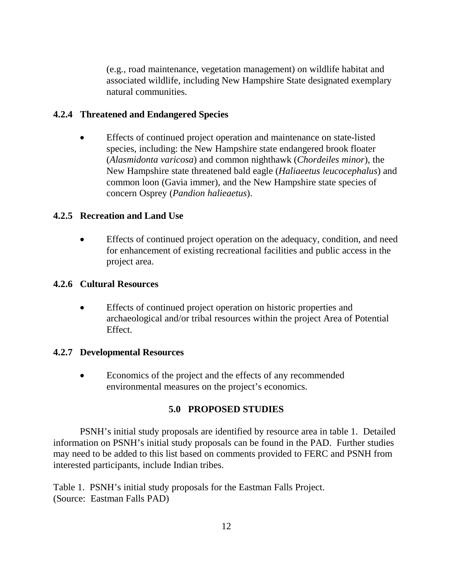(e.g., road maintenance, vegetation management) on wildlife habitat and associated wildlife, including New Hampshire State designated exemplary natural communities.

## <span id="page-20-0"></span>**4.2.4 Threatened and Endangered Species**

• Effects of continued project operation and maintenance on state-listed species, including: the New Hampshire state endangered brook floater (*Alasmidonta varicosa*) and common nighthawk (*Chordeiles minor*), the New Hampshire state threatened bald eagle (*Haliaeetus leucocephalus*) and common loon (Gavia immer), and the New Hampshire state species of concern Osprey (*Pandion halieaetus*).

## <span id="page-20-1"></span>**4.2.5 Recreation and Land Use**

• Effects of continued project operation on the adequacy, condition, and need for enhancement of existing recreational facilities and public access in the project area.

#### <span id="page-20-2"></span>**4.2.6 Cultural Resources**

• Effects of continued project operation on historic properties and archaeological and/or tribal resources within the project Area of Potential Effect.

#### **4.2.7 Developmental Resources**

• Economics of the project and the effects of any recommended environmental measures on the project's economics.

## **5.0 PROPOSED STUDIES**

PSNH's initial study proposals are identified by resource area in table 1. Detailed information on PSNH's initial study proposals can be found in the PAD. Further studies may need to be added to this list based on comments provided to FERC and PSNH from interested participants, include Indian tribes.

<span id="page-20-3"></span>Table 1. PSNH's initial study proposals for the Eastman Falls Project. (Source: Eastman Falls PAD)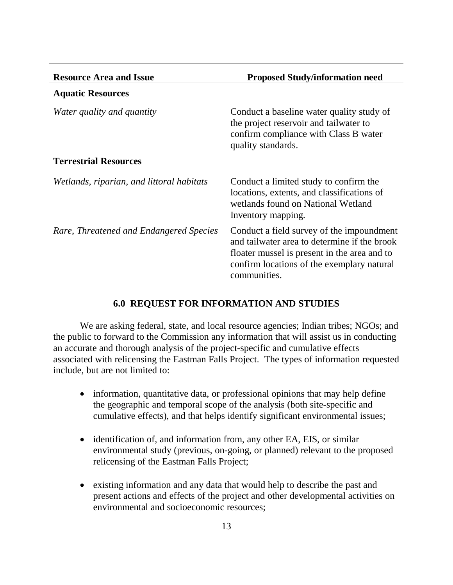| <b>Resource Area and Issue</b>            | <b>Proposed Study/information need</b>                                                                                                                                                                  |
|-------------------------------------------|---------------------------------------------------------------------------------------------------------------------------------------------------------------------------------------------------------|
| <b>Aquatic Resources</b>                  |                                                                                                                                                                                                         |
| Water quality and quantity                | Conduct a baseline water quality study of<br>the project reservoir and tailwater to<br>confirm compliance with Class B water<br>quality standards.                                                      |
| <b>Terrestrial Resources</b>              |                                                                                                                                                                                                         |
| Wetlands, riparian, and littoral habitats | Conduct a limited study to confirm the<br>locations, extents, and classifications of<br>wetlands found on National Wetland<br>Inventory mapping.                                                        |
| Rare, Threatened and Endangered Species   | Conduct a field survey of the impoundment<br>and tailwater area to determine if the brook<br>floater mussel is present in the area and to<br>confirm locations of the exemplary natural<br>communities. |

#### **6.0 REQUEST FOR INFORMATION AND STUDIES**

<span id="page-21-0"></span>We are asking federal, state, and local resource agencies; Indian tribes; NGOs; and the public to forward to the Commission any information that will assist us in conducting an accurate and thorough analysis of the project-specific and cumulative effects associated with relicensing the Eastman Falls Project. The types of information requested include, but are not limited to:

- information, quantitative data, or professional opinions that may help define the geographic and temporal scope of the analysis (both site-specific and cumulative effects), and that helps identify significant environmental issues;
- identification of, and information from, any other EA, EIS, or similar environmental study (previous, on-going, or planned) relevant to the proposed relicensing of the Eastman Falls Project;
- existing information and any data that would help to describe the past and present actions and effects of the project and other developmental activities on environmental and socioeconomic resources;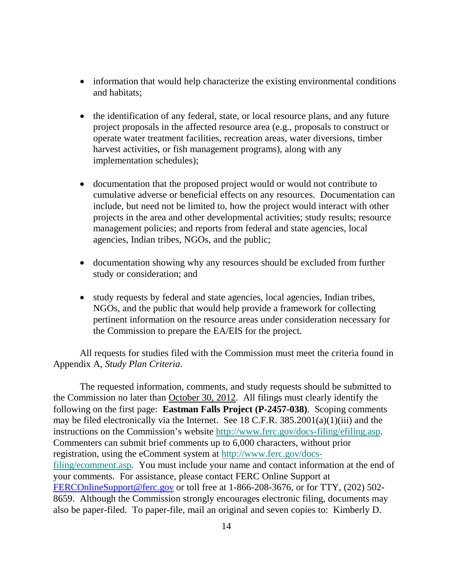- information that would help characterize the existing environmental conditions and habitats;
- the identification of any federal, state, or local resource plans, and any future project proposals in the affected resource area (e.g., proposals to construct or operate water treatment facilities, recreation areas, water diversions, timber harvest activities, or fish management programs), along with any implementation schedules);
- documentation that the proposed project would or would not contribute to cumulative adverse or beneficial effects on any resources. Documentation can include, but need not be limited to, how the project would interact with other projects in the area and other developmental activities; study results; resource management policies; and reports from federal and state agencies, local agencies, Indian tribes, NGOs, and the public;
- documentation showing why any resources should be excluded from further study or consideration; and
- study requests by federal and state agencies, local agencies, Indian tribes, NGOs, and the public that would help provide a framework for collecting pertinent information on the resource areas under consideration necessary for the Commission to prepare the EA/EIS for the project.

All requests for studies filed with the Commission must meet the criteria found in Appendix A, *Study Plan Criteria*.

The requested information, comments, and study requests should be submitted to the Commission no later than October 30, 2012. All filings must clearly identify the following on the first page: **Eastman Falls Project (P-2457-038)**. Scoping comments may be filed electronically via the Internet. See 18 C.F.R.  $385.2001(a)(1)(iii)$  and the instructions on the Commission's website [http://www.ferc.gov/docs-filing/efiling.asp.](http://www.ferc.gov/docs-filing/efiling.asp) Commenters can submit brief comments up to 6,000 characters, without prior registration, using the eComment system at [http://www.ferc.gov/docs](http://www.ferc.gov/docs-filing/ecomment.asp)[filing/ecomment.asp.](http://www.ferc.gov/docs-filing/ecomment.asp) You must include your name and contact information at the end of your comments. For assistance, please contact FERC Online Support at [FERCOnlineSupport@ferc.gov](mailto:FERCOnlineSupport@ferc.gov) or toll free at 1-866-208-3676, or for TTY, (202) 502- 8659. Although the Commission strongly encourages electronic filing, documents may also be paper-filed. To paper-file, mail an original and seven copies to: Kimberly D.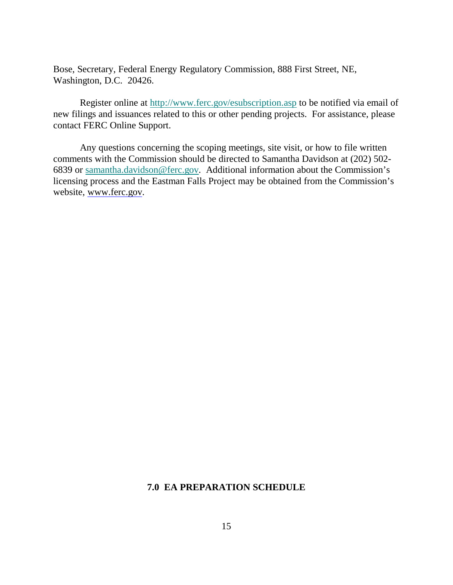Bose, Secretary, Federal Energy Regulatory Commission, 888 First Street, NE, Washington, D.C. 20426.

Register online at<http://www.ferc.gov/esubscription.asp> to be notified via email of new filings and issuances related to this or other pending projects. For assistance, please contact FERC Online Support.

<span id="page-23-0"></span>Any questions concerning the scoping meetings, site visit, or how to file written comments with the Commission should be directed to Samantha Davidson at (202) 502- 6839 or [samantha.davidson@ferc.gov.](mailto:samantha.davidson@ferc.gov) Additional information about the Commission's licensing process and the Eastman Falls Project may be obtained from the Commission's website, [www.ferc.gov.](http://www.ferc.gov/)

#### **7.0 EA PREPARATION SCHEDULE**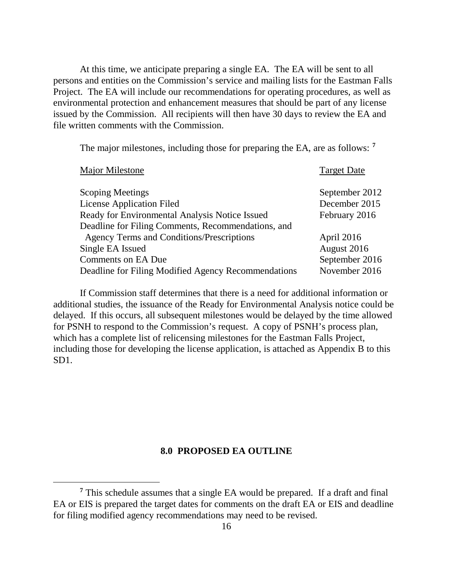At this time, we anticipate preparing a single EA. The EA will be sent to all persons and entities on the Commission's service and mailing lists for the Eastman Falls Project. The EA will include our recommendations for operating procedures, as well as environmental protection and enhancement measures that should be part of any license issued by the Commission. All recipients will then have 30 days to review the EA and file written comments with the Commission.

The major milestones, including those for preparing the EA, are as follows: **[7](#page-24-0)**

| Major Milestone                                     | <b>Target Date</b> |
|-----------------------------------------------------|--------------------|
| <b>Scoping Meetings</b>                             | September 2012     |
| <b>License Application Filed</b>                    | December 2015      |
| Ready for Environmental Analysis Notice Issued      | February 2016      |
| Deadline for Filing Comments, Recommendations, and  |                    |
| <b>Agency Terms and Conditions/Prescriptions</b>    | April 2016         |
| Single EA Issued                                    | August 2016        |
| <b>Comments on EA Due</b>                           | September 2016     |
| Deadline for Filing Modified Agency Recommendations | November 2016      |

If Commission staff determines that there is a need for additional information or additional studies, the issuance of the Ready for Environmental Analysis notice could be delayed. If this occurs, all subsequent milestones would be delayed by the time allowed for PSNH to respond to the Commission's request. A copy of PSNH's process plan, which has a complete list of relicensing milestones for the Eastman Falls Project, including those for developing the license application, is attached as Appendix B to this SD1.

#### **8.0 PROPOSED EA OUTLINE**

 $\overline{a}$ 

<span id="page-24-0"></span>**<sup>7</sup>** This schedule assumes that a single EA would be prepared. If a draft and final EA or EIS is prepared the target dates for comments on the draft EA or EIS and deadline for filing modified agency recommendations may need to be revised.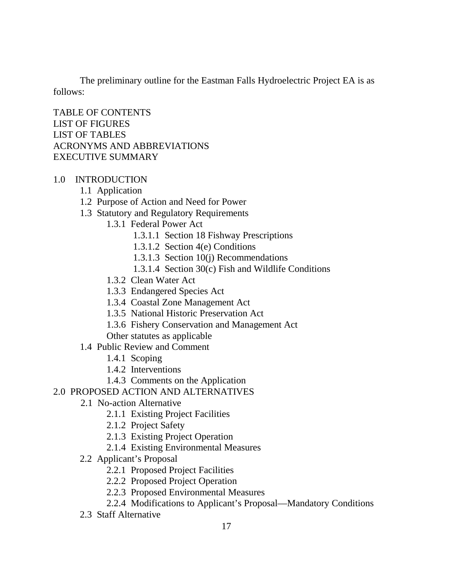The preliminary outline for the Eastman Falls Hydroelectric Project EA is as follows:

TABLE OF CONTENTS LIST OF FIGURES LIST OF TABLES ACRONYMS AND ABBREVIATIONS EXECUTIVE SUMMARY

## 1.0 INTRODUCTION

- 1.1 Application
- 1.2 Purpose of Action and Need for Power
- 1.3 Statutory and Regulatory Requirements
	- 1.3.1 Federal Power Act
		- 1.3.1.1 Section 18 Fishway Prescriptions
		- 1.3.1.2 Section 4(e) Conditions
		- 1.3.1.3 Section 10(j) Recommendations
		- 1.3.1.4 Section 30(c) Fish and Wildlife Conditions
	- 1.3.2 Clean Water Act
	- 1.3.3 Endangered Species Act
	- 1.3.4 Coastal Zone Management Act
	- 1.3.5 National Historic Preservation Act
	- 1.3.6 Fishery Conservation and Management Act
	- Other statutes as applicable
- 1.4 Public Review and Comment
	- 1.4.1 Scoping
	- 1.4.2 Interventions
	- 1.4.3 Comments on the Application

## 2.0 PROPOSED ACTION AND ALTERNATIVES

- 2.1 No-action Alternative
	- 2.1.1 Existing Project Facilities
	- 2.1.2 Project Safety
	- 2.1.3 Existing Project Operation
	- 2.1.4 Existing Environmental Measures
- 2.2 Applicant's Proposal
	- 2.2.1 Proposed Project Facilities
	- 2.2.2 Proposed Project Operation
	- 2.2.3 Proposed Environmental Measures
	- 2.2.4 Modifications to Applicant's Proposal—Mandatory Conditions
- 2.3 Staff Alternative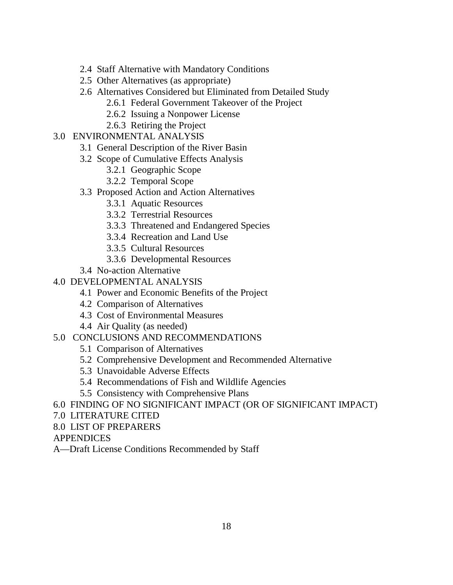- 2.4 Staff Alternative with Mandatory Conditions
- 2.5 Other Alternatives (as appropriate)
- 2.6 Alternatives Considered but Eliminated from Detailed Study
	- 2.6.1 Federal Government Takeover of the Project
	- 2.6.2 Issuing a Nonpower License
	- 2.6.3 Retiring the Project

## 3.0 ENVIRONMENTAL ANALYSIS

- 3.1 General Description of the River Basin
- 3.2 Scope of Cumulative Effects Analysis
	- 3.2.1 Geographic Scope
	- 3.2.2 Temporal Scope
- 3.3 Proposed Action and Action Alternatives
	- 3.3.1 Aquatic Resources
	- 3.3.2 Terrestrial Resources
	- 3.3.3 Threatened and Endangered Species
	- 3.3.4 Recreation and Land Use
	- 3.3.5 Cultural Resources
	- 3.3.6 Developmental Resources
- 3.4 No-action Alternative
- 4.0 DEVELOPMENTAL ANALYSIS
	- 4.1 Power and Economic Benefits of the Project
	- 4.2 Comparison of Alternatives
	- 4.3 Cost of Environmental Measures
	- 4.4 Air Quality (as needed)

## 5.0 CONCLUSIONS AND RECOMMENDATIONS

- 5.1 Comparison of Alternatives
- 5.2 Comprehensive Development and Recommended Alternative
- 5.3 Unavoidable Adverse Effects
- 5.4 Recommendations of Fish and Wildlife Agencies
- 5.5 Consistency with Comprehensive Plans
- 6.0 FINDING OF NO SIGNIFICANT IMPACT (OR OF SIGNIFICANT IMPACT)
- 7.0 LITERATURE CITED
- 8.0 LIST OF PREPARERS
- APPENDICES
- A—Draft License Conditions Recommended by Staff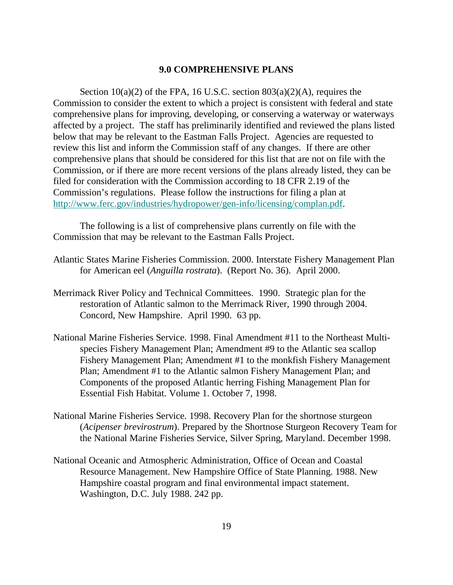#### **9.0 COMPREHENSIVE PLANS**

<span id="page-27-0"></span>Section  $10(a)(2)$  of the FPA, 16 U.S.C. section  $803(a)(2)(A)$ , requires the Commission to consider the extent to which a project is consistent with federal and state comprehensive plans for improving, developing, or conserving a waterway or waterways affected by a project. The staff has preliminarily identified and reviewed the plans listed below that may be relevant to the Eastman Falls Project. Agencies are requested to review this list and inform the Commission staff of any changes. If there are other comprehensive plans that should be considered for this list that are not on file with the Commission, or if there are more recent versions of the plans already listed, they can be filed for consideration with the Commission according to 18 CFR 2.19 of the Commission's regulations. Please follow the instructions for filing a plan at [http://www.ferc.gov/industries/hydropower/gen-info/licensing/complan.pdf.](http://www.ferc.gov/industries/hydropower/gen-info/licensing/complan.pdf)

The following is a list of comprehensive plans currently on file with the Commission that may be relevant to the Eastman Falls Project.

- Atlantic States Marine Fisheries Commission. 2000. Interstate Fishery Management Plan for American eel (*Anguilla rostrata*). (Report No. 36). April 2000.
- Merrimack River Policy and Technical Committees. 1990. Strategic plan for the restoration of Atlantic salmon to the Merrimack River, 1990 through 2004. Concord, New Hampshire. April 1990. 63 pp.
- National Marine Fisheries Service. 1998. Final Amendment #11 to the Northeast Multispecies Fishery Management Plan; Amendment #9 to the Atlantic sea scallop Fishery Management Plan; Amendment #1 to the monkfish Fishery Management Plan; Amendment #1 to the Atlantic salmon Fishery Management Plan; and Components of the proposed Atlantic herring Fishing Management Plan for Essential Fish Habitat. Volume 1. October 7, 1998.
- National Marine Fisheries Service. 1998. Recovery Plan for the shortnose sturgeon (*Acipenser brevirostrum*). Prepared by the Shortnose Sturgeon Recovery Team for the National Marine Fisheries Service, Silver Spring, Maryland. December 1998.
- National Oceanic and Atmospheric Administration, Office of Ocean and Coastal Resource Management. New Hampshire Office of State Planning. 1988. New Hampshire coastal program and final environmental impact statement. Washington, D.C. July 1988. 242 pp.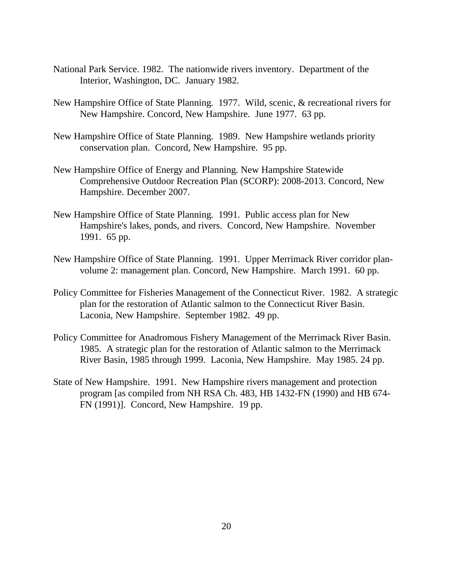- National Park Service. 1982. The nationwide rivers inventory. Department of the Interior, Washington, DC. January 1982.
- New Hampshire Office of State Planning. 1977. Wild, scenic, & recreational rivers for New Hampshire. Concord, New Hampshire. June 1977. 63 pp.
- New Hampshire Office of State Planning. 1989. New Hampshire wetlands priority conservation plan. Concord, New Hampshire. 95 pp.
- New Hampshire Office of Energy and Planning. New Hampshire Statewide Comprehensive Outdoor Recreation Plan (SCORP): 2008-2013. Concord, New Hampshire. December 2007.
- New Hampshire Office of State Planning. 1991. Public access plan for New Hampshire's lakes, ponds, and rivers. Concord, New Hampshire. November 1991. 65 pp.
- New Hampshire Office of State Planning. 1991. Upper Merrimack River corridor planvolume 2: management plan. Concord, New Hampshire. March 1991. 60 pp.
- Policy Committee for Fisheries Management of the Connecticut River. 1982. A strategic plan for the restoration of Atlantic salmon to the Connecticut River Basin. Laconia, New Hampshire. September 1982. 49 pp.
- Policy Committee for Anadromous Fishery Management of the Merrimack River Basin. 1985. A strategic plan for the restoration of Atlantic salmon to the Merrimack River Basin, 1985 through 1999. Laconia, New Hampshire. May 1985. 24 pp.
- State of New Hampshire. 1991. New Hampshire rivers management and protection program [as compiled from NH RSA Ch. 483, HB 1432-FN (1990) and HB 674- FN (1991)]. Concord, New Hampshire. 19 pp.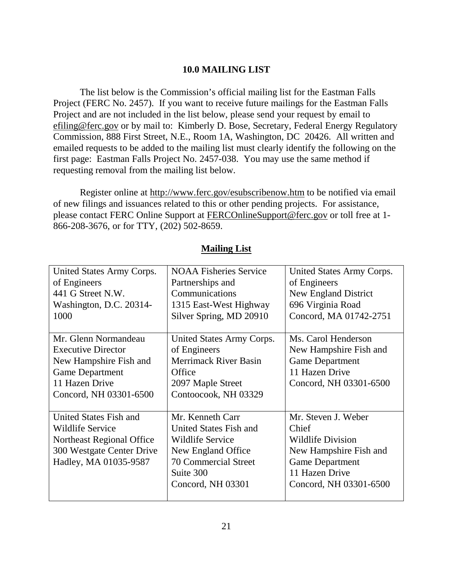## **10.0 MAILING LIST**

<span id="page-29-0"></span>The list below is the Commission's official mailing list for the Eastman Falls Project (FERC No. 2457). If you want to receive future mailings for the Eastman Falls Project and are not included in the list below, please send your request by email to efiling@ferc.gov or by mail to: Kimberly D. Bose, Secretary, Federal Energy Regulatory Commission, 888 First Street, N.E., Room 1A, Washington, DC 20426. All written and emailed requests to be added to the mailing list must clearly identify the following on the first page: Eastman Falls Project No. 2457-038. You may use the same method if requesting removal from the mailing list below.

Register online at http://www.ferc.gov/esubscribenow.htm to be notified via email of new filings and issuances related to this or other pending projects. For assistance, please contact FERC Online Support at FERCOnlineSupport@ferc.gov or toll free at 1- 866-208-3676, or for TTY, (202) 502-8659.

| United States Army Corps.<br>of Engineers<br>441 G Street N.W.<br>Washington, D.C. 20314-<br>1000                                                 | <b>NOAA Fisheries Service</b><br>Partnerships and<br>Communications<br>1315 East-West Highway<br>Silver Spring, MD 20910                                     | United States Army Corps.<br>of Engineers<br>New England District<br>696 Virginia Road<br>Concord, MA 01742-2751                                         |
|---------------------------------------------------------------------------------------------------------------------------------------------------|--------------------------------------------------------------------------------------------------------------------------------------------------------------|----------------------------------------------------------------------------------------------------------------------------------------------------------|
| Mr. Glenn Normandeau<br><b>Executive Director</b><br>New Hampshire Fish and<br><b>Game Department</b><br>11 Hazen Drive<br>Concord, NH 03301-6500 | United States Army Corps.<br>of Engineers<br><b>Merrimack River Basin</b><br>Office<br>2097 Maple Street<br>Contoocook, NH 03329                             | Ms. Carol Henderson<br>New Hampshire Fish and<br><b>Game Department</b><br>11 Hazen Drive<br>Concord, NH 03301-6500                                      |
| United States Fish and<br><b>Wildlife Service</b><br>Northeast Regional Office<br>300 Westgate Center Drive<br>Hadley, MA 01035-9587              | Mr. Kenneth Carr<br>United States Fish and<br><b>Wildlife Service</b><br>New England Office<br><b>70 Commercial Street</b><br>Suite 300<br>Concord, NH 03301 | Mr. Steven J. Weber<br>Chief<br><b>Wildlife Division</b><br>New Hampshire Fish and<br><b>Game Department</b><br>11 Hazen Drive<br>Concord, NH 03301-6500 |

## **Mailing List**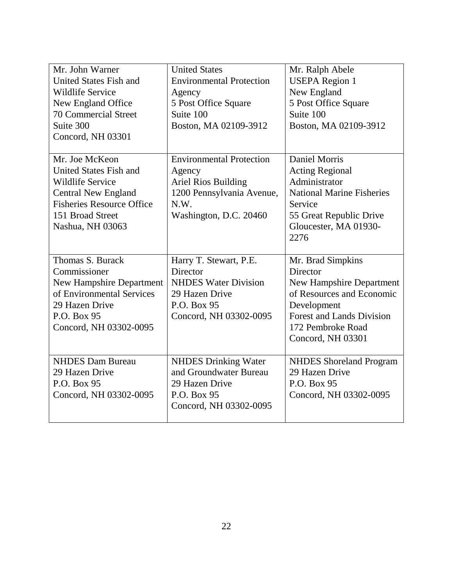| Mr. John Warner                  | <b>United States</b>            | Mr. Ralph Abele                  |
|----------------------------------|---------------------------------|----------------------------------|
| United States Fish and           | <b>Environmental Protection</b> | <b>USEPA Region 1</b>            |
| <b>Wildlife Service</b>          | Agency                          | New England                      |
| New England Office               | 5 Post Office Square            | 5 Post Office Square             |
| <b>70 Commercial Street</b>      | Suite 100                       | Suite 100                        |
| Suite 300                        | Boston, MA 02109-3912           | Boston, MA 02109-3912            |
| Concord, NH 03301                |                                 |                                  |
|                                  |                                 |                                  |
| Mr. Joe McKeon                   | <b>Environmental Protection</b> | Daniel Morris                    |
| <b>United States Fish and</b>    | Agency                          | <b>Acting Regional</b>           |
| <b>Wildlife Service</b>          | Ariel Rios Building             | Administrator                    |
| <b>Central New England</b>       | 1200 Pennsylvania Avenue,       | <b>National Marine Fisheries</b> |
| <b>Fisheries Resource Office</b> | N.W.                            | Service                          |
| 151 Broad Street                 | Washington, D.C. 20460          | 55 Great Republic Drive          |
| Nashua, NH 03063                 |                                 | Gloucester, MA 01930-            |
|                                  |                                 | 2276                             |
|                                  |                                 |                                  |
|                                  |                                 |                                  |
| Thomas S. Burack                 | Harry T. Stewart, P.E.          | Mr. Brad Simpkins                |
| Commissioner                     | Director                        | Director                         |
| <b>New Hampshire Department</b>  | <b>NHDES Water Division</b>     | <b>New Hampshire Department</b>  |
| of Environmental Services        | 29 Hazen Drive                  | of Resources and Economic        |
| 29 Hazen Drive                   | P.O. Box 95                     | Development                      |
| P.O. Box 95                      | Concord, NH 03302-0095          | <b>Forest and Lands Division</b> |
| Concord, NH 03302-0095           |                                 | 172 Pembroke Road                |
|                                  |                                 | Concord, NH 03301                |
|                                  |                                 |                                  |
| <b>NHDES Dam Bureau</b>          | <b>NHDES Drinking Water</b>     | <b>NHDES</b> Shoreland Program   |
| 29 Hazen Drive                   | and Groundwater Bureau          | 29 Hazen Drive                   |
| P.O. Box 95                      | 29 Hazen Drive                  | P.O. Box 95                      |
| Concord, NH 03302-0095           | P.O. Box 95                     | Concord, NH 03302-0095           |
|                                  | Concord, NH 03302-0095          |                                  |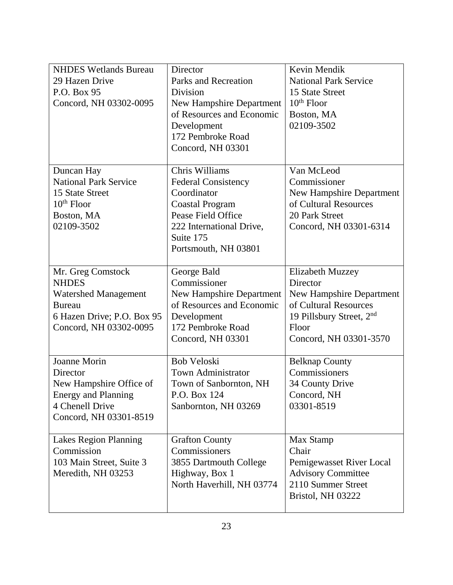| <b>NHDES Wetlands Bureau</b><br>29 Hazen Drive<br>P.O. Box 95<br>Concord, NH 03302-0095                                                   | Director<br>Parks and Recreation<br>Division<br><b>New Hampshire Department</b><br>of Resources and Economic<br>Development<br>172 Pembroke Road<br>Concord, NH 03301        | Kevin Mendik<br><b>National Park Service</b><br>15 State Street<br>$10th$ Floor<br>Boston, MA<br>02109-3502                                               |
|-------------------------------------------------------------------------------------------------------------------------------------------|------------------------------------------------------------------------------------------------------------------------------------------------------------------------------|-----------------------------------------------------------------------------------------------------------------------------------------------------------|
| Duncan Hay<br><b>National Park Service</b><br>15 State Street<br>$10th$ Floor<br>Boston, MA<br>02109-3502                                 | Chris Williams<br><b>Federal Consistency</b><br>Coordinator<br><b>Coastal Program</b><br>Pease Field Office<br>222 International Drive,<br>Suite 175<br>Portsmouth, NH 03801 | Van McLeod<br>Commissioner<br>New Hampshire Department<br>of Cultural Resources<br>20 Park Street<br>Concord, NH 03301-6314                               |
| Mr. Greg Comstock<br><b>NHDES</b><br><b>Watershed Management</b><br><b>Bureau</b><br>6 Hazen Drive; P.O. Box 95<br>Concord, NH 03302-0095 | George Bald<br>Commissioner<br>New Hampshire Department<br>of Resources and Economic<br>Development<br>172 Pembroke Road<br>Concord, NH 03301                                | <b>Elizabeth Muzzey</b><br>Director<br>New Hampshire Department<br>of Cultural Resources<br>19 Pillsbury Street, $2nd$<br>Floor<br>Concord, NH 03301-3570 |
| Joanne Morin<br>Director<br>New Hampshire Office of<br><b>Energy and Planning</b><br>4 Chenell Drive<br>Concord, NH 03301-8519            | <b>Bob Veloski</b><br><b>Town Administrator</b><br>Town of Sanbornton, NH<br>P.O. Box 124<br>Sanbornton, NH 03269                                                            | <b>Belknap County</b><br>Commissioners<br>34 County Drive<br>Concord, NH<br>03301-8519                                                                    |
| <b>Lakes Region Planning</b><br>Commission<br>103 Main Street, Suite 3<br>Meredith, NH 03253                                              | <b>Grafton County</b><br>Commissioners<br>3855 Dartmouth College<br>Highway, Box 1<br>North Haverhill, NH 03774                                                              | Max Stamp<br>Chair<br>Pemigewasset River Local<br><b>Advisory Committee</b><br>2110 Summer Street<br>Bristol, NH 03222                                    |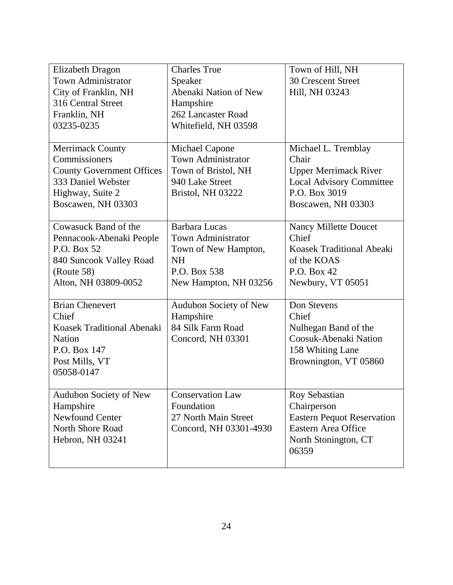| <b>Elizabeth Dragon</b>          | <b>Charles True</b>       | Town of Hill, NH                  |
|----------------------------------|---------------------------|-----------------------------------|
| <b>Town Administrator</b>        | Speaker                   | <b>30 Crescent Street</b>         |
| City of Franklin, NH             | Abenaki Nation of New     | Hill, NH 03243                    |
| 316 Central Street               | Hampshire                 |                                   |
| Franklin, NH                     | 262 Lancaster Road        |                                   |
| 03235-0235                       | Whitefield, NH 03598      |                                   |
|                                  |                           |                                   |
| <b>Merrimack County</b>          | <b>Michael Capone</b>     | Michael L. Tremblay               |
| Commissioners                    | <b>Town Administrator</b> | Chair                             |
| <b>County Government Offices</b> | Town of Bristol, NH       | <b>Upper Merrimack River</b>      |
| 333 Daniel Webster               | 940 Lake Street           | <b>Local Advisory Committee</b>   |
| Highway, Suite 2                 | Bristol, NH 03222         | P.O. Box 3019                     |
| Boscawen, NH 03303               |                           | Boscawen, NH 03303                |
|                                  |                           |                                   |
| Cowasuck Band of the             | <b>Barbara Lucas</b>      | <b>Nancy Millette Doucet</b>      |
| Pennacook-Abenaki People         | <b>Town Administrator</b> | Chief                             |
| P.O. Box 52                      | Town of New Hampton,      | Koasek Traditional Abeaki         |
| 840 Suncook Valley Road          | <b>NH</b>                 | of the KOAS                       |
| (Route 58)                       | P.O. Box 538              | P.O. Box 42                       |
| Alton, NH 03809-0052             | New Hampton, NH 03256     | Newbury, VT 05051                 |
|                                  |                           |                                   |
| <b>Brian Chenevert</b>           | Audubon Society of New    | Don Stevens                       |
| Chief                            | Hampshire                 | Chief                             |
| Koasek Traditional Abenaki       | 84 Silk Farm Road         | Nulhegan Band of the              |
| <b>Nation</b>                    | Concord, NH 03301         | Coosuk-Abenaki Nation             |
| P.O. Box 147                     |                           | 158 Whiting Lane                  |
| Post Mills, VT                   |                           | Brownington, VT 05860             |
| 05058-0147                       |                           |                                   |
|                                  |                           |                                   |
| Audubon Society of New           | <b>Conservation Law</b>   | Roy Sebastian                     |
| Hampshire                        | Foundation                | Chairperson                       |
| <b>Newfound Center</b>           | 27 North Main Street      | <b>Eastern Pequot Reservation</b> |
| North Shore Road                 | Concord, NH 03301-4930    | Eastern Area Office               |
| Hebron, NH 03241                 |                           | North Stonington, CT              |
|                                  |                           | 06359                             |
|                                  |                           |                                   |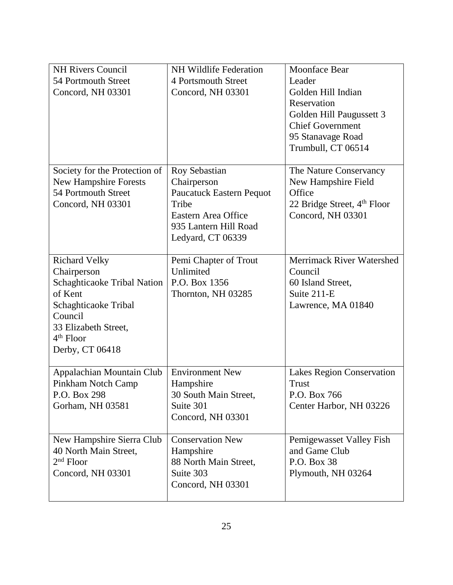| <b>NH Rivers Council</b><br>54 Portmouth Street<br>Concord, NH 03301                                                                                                       | <b>NH Wildlife Federation</b><br>4 Portsmouth Street<br>Concord, NH 03301                                                    | <b>Moonface Bear</b><br>Leader<br>Golden Hill Indian<br>Reservation<br>Golden Hill Paugussett 3<br><b>Chief Government</b><br>95 Stanavage Road |
|----------------------------------------------------------------------------------------------------------------------------------------------------------------------------|------------------------------------------------------------------------------------------------------------------------------|-------------------------------------------------------------------------------------------------------------------------------------------------|
| Society for the Protection of                                                                                                                                              | Roy Sebastian                                                                                                                | Trumbull, CT 06514<br>The Nature Conservancy                                                                                                    |
| <b>New Hampshire Forests</b><br>54 Portmouth Street<br>Concord, NH 03301                                                                                                   | Chairperson<br><b>Paucatuck Eastern Pequot</b><br>Tribe<br>Eastern Area Office<br>935 Lantern Hill Road<br>Ledyard, CT 06339 | New Hampshire Field<br>Office<br>22 Bridge Street, 4 <sup>th</sup> Floor<br>Concord, NH 03301                                                   |
| <b>Richard Velky</b><br>Chairperson<br>Schaghticaoke Tribal Nation<br>of Kent<br>Schaghticaoke Tribal<br>Council<br>33 Elizabeth Street,<br>$4th$ Floor<br>Derby, CT 06418 | Pemi Chapter of Trout<br>Unlimited<br>P.O. Box 1356<br>Thornton, NH 03285                                                    | Merrimack River Watershed<br>Council<br>60 Island Street,<br>Suite 211-E<br>Lawrence, MA 01840                                                  |
| Appalachian Mountain Club<br>Pinkham Notch Camp<br>P.O. Box 298<br>Gorham, NH 03581                                                                                        | <b>Environment New</b><br>Hampshire<br>30 South Main Street,<br>Suite 301<br>Concord, NH 03301                               | Lakes Region Conservation<br><b>Trust</b><br>P.O. Box 766<br>Center Harbor, NH 03226                                                            |
| New Hampshire Sierra Club<br>40 North Main Street,<br>$2nd$ Floor<br>Concord, NH 03301                                                                                     | <b>Conservation New</b><br>Hampshire<br>88 North Main Street,<br>Suite 303<br>Concord, NH 03301                              | Pemigewasset Valley Fish<br>and Game Club<br>P.O. Box 38<br>Plymouth, NH 03264                                                                  |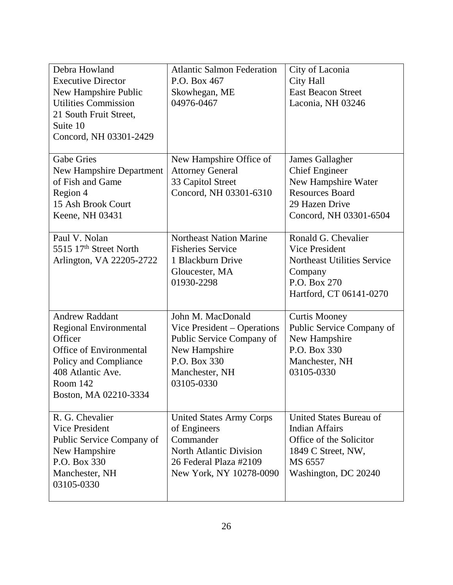| Debra Howland<br><b>Executive Director</b><br>New Hampshire Public<br><b>Utilities Commission</b><br>21 South Fruit Street,<br>Suite 10<br>Concord, NH 03301-2429               | <b>Atlantic Salmon Federation</b><br>P.O. Box 467<br>Skowhegan, ME<br>04976-0467                                                               | City of Laconia<br><b>City Hall</b><br><b>East Beacon Street</b><br>Laconia, NH 03246                                                    |
|---------------------------------------------------------------------------------------------------------------------------------------------------------------------------------|------------------------------------------------------------------------------------------------------------------------------------------------|------------------------------------------------------------------------------------------------------------------------------------------|
| <b>Gabe Gries</b><br><b>New Hampshire Department</b><br>of Fish and Game<br>Region 4<br>15 Ash Brook Court<br>Keene, NH 03431                                                   | New Hampshire Office of<br><b>Attorney General</b><br>33 Capitol Street<br>Concord, NH 03301-6310                                              | James Gallagher<br><b>Chief Engineer</b><br>New Hampshire Water<br><b>Resources Board</b><br>29 Hazen Drive<br>Concord, NH 03301-6504    |
| Paul V. Nolan<br>5515 17 <sup>th</sup> Street North<br>Arlington, VA 22205-2722                                                                                                 | <b>Northeast Nation Marine</b><br><b>Fisheries Service</b><br>1 Blackburn Drive<br>Gloucester, MA<br>01930-2298                                | Ronald G. Chevalier<br><b>Vice President</b><br><b>Northeast Utilities Service</b><br>Company<br>P.O. Box 270<br>Hartford, CT 06141-0270 |
| <b>Andrew Raddant</b><br>Regional Environmental<br>Officer<br><b>Office of Environmental</b><br>Policy and Compliance<br>408 Atlantic Ave.<br>Room 142<br>Boston, MA 02210-3334 | John M. MacDonald<br>Vice President – Operations<br>Public Service Company of<br>New Hampshire<br>P.O. Box 330<br>Manchester, NH<br>03105-0330 | <b>Curtis Mooney</b><br>Public Service Company of<br>New Hampshire<br>P.O. Box 330<br>Manchester, NH<br>03105-0330                       |
| R. G. Chevalier<br><b>Vice President</b><br>Public Service Company of<br>New Hampshire<br>P.O. Box 330<br>Manchester, NH<br>03105-0330                                          | <b>United States Army Corps</b><br>of Engineers<br>Commander<br>North Atlantic Division<br>26 Federal Plaza #2109<br>New York, NY 10278-0090   | United States Bureau of<br><b>Indian Affairs</b><br>Office of the Solicitor<br>1849 C Street, NW,<br>MS 6557<br>Washington, DC 20240     |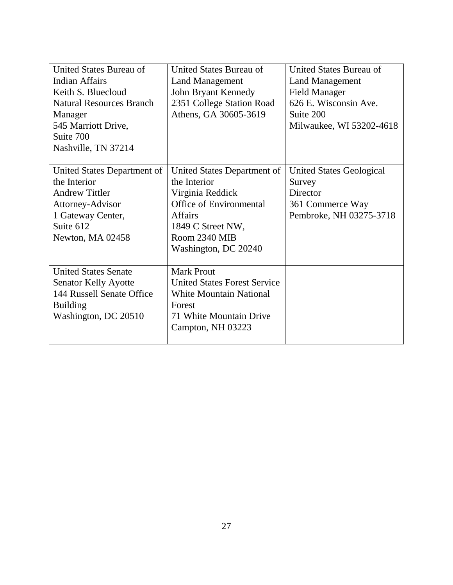| United States Bureau of         | United States Bureau of             | United States Bureau of  |
|---------------------------------|-------------------------------------|--------------------------|
| <b>Indian Affairs</b>           | <b>Land Management</b>              | <b>Land Management</b>   |
| Keith S. Bluecloud              | John Bryant Kennedy                 | <b>Field Manager</b>     |
| <b>Natural Resources Branch</b> | 2351 College Station Road           | 626 E. Wisconsin Ave.    |
| Manager                         | Athens, GA 30605-3619               | Suite 200                |
| 545 Marriott Drive,             |                                     | Milwaukee, WI 53202-4618 |
| Suite 700                       |                                     |                          |
| Nashville, TN 37214             |                                     |                          |
|                                 |                                     |                          |
| United States Department of     | United States Department of         | United States Geological |
| the Interior                    | the Interior                        | Survey                   |
| <b>Andrew Tittler</b>           | Virginia Reddick                    | Director                 |
| Attorney-Advisor                | Office of Environmental             | 361 Commerce Way         |
| 1 Gateway Center,               | <b>Affairs</b>                      | Pembroke, NH 03275-3718  |
| Suite 612                       | 1849 C Street NW,                   |                          |
| Newton, MA 02458                | Room 2340 MIB                       |                          |
|                                 | Washington, DC 20240                |                          |
|                                 |                                     |                          |
| <b>United States Senate</b>     | <b>Mark Prout</b>                   |                          |
| Senator Kelly Ayotte            | <b>United States Forest Service</b> |                          |
| 144 Russell Senate Office       | <b>White Mountain National</b>      |                          |
| <b>Building</b>                 | Forest                              |                          |
| Washington, DC 20510            | 71 White Mountain Drive             |                          |
|                                 | Campton, NH 03223                   |                          |
|                                 |                                     |                          |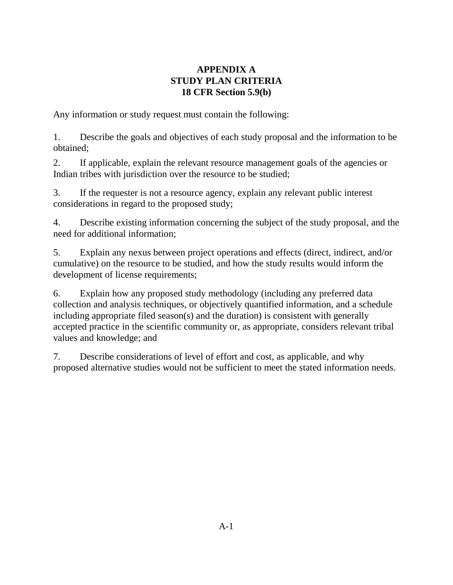## **APPENDIX A STUDY PLAN CRITERIA 18 CFR Section 5.9(b)**

Any information or study request must contain the following:

1. Describe the goals and objectives of each study proposal and the information to be obtained;

2. If applicable, explain the relevant resource management goals of the agencies or Indian tribes with jurisdiction over the resource to be studied;

3. If the requester is not a resource agency, explain any relevant public interest considerations in regard to the proposed study;

4. Describe existing information concerning the subject of the study proposal, and the need for additional information;

5. Explain any nexus between project operations and effects (direct, indirect, and/or cumulative) on the resource to be studied, and how the study results would inform the development of license requirements;

6. Explain how any proposed study methodology (including any preferred data collection and analysis techniques, or objectively quantified information, and a schedule including appropriate filed season(s) and the duration) is consistent with generally accepted practice in the scientific community or, as appropriate, considers relevant tribal values and knowledge; and

7. Describe considerations of level of effort and cost, as applicable, and why proposed alternative studies would not be sufficient to meet the stated information needs.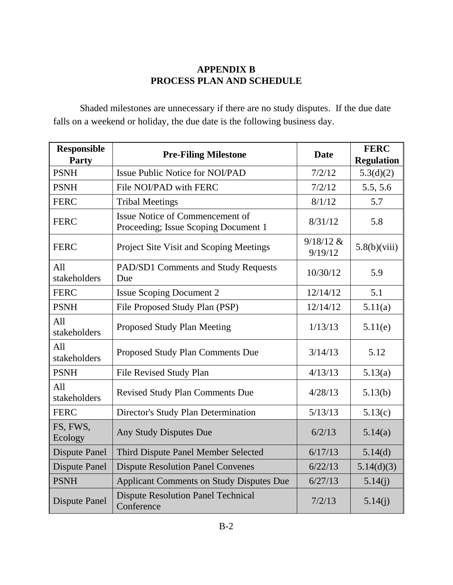## **APPENDIX B PROCESS PLAN AND SCHEDULE**

Shaded milestones are unnecessary if there are no study disputes. If the due date falls on a weekend or holiday, the due date is the following business day.

| <b>Responsible</b><br>Party | <b>Pre-Filing Milestone</b>                                             | <b>Date</b>            | <b>FERC</b><br><b>Regulation</b> |
|-----------------------------|-------------------------------------------------------------------------|------------------------|----------------------------------|
| <b>PSNH</b>                 | <b>Issue Public Notice for NOI/PAD</b>                                  | 7/2/12                 | 5.3(d)(2)                        |
| <b>PSNH</b>                 | File NOI/PAD with FERC                                                  | 7/2/12                 | 5.5, 5.6                         |
| <b>FERC</b>                 | <b>Tribal Meetings</b>                                                  | 8/1/12                 | 5.7                              |
| <b>FERC</b>                 | Issue Notice of Commencement of<br>Proceeding; Issue Scoping Document 1 | 8/31/12                | 5.8                              |
| <b>FERC</b>                 | Project Site Visit and Scoping Meetings                                 | $9/18/12$ &<br>9/19/12 | 5.8(b)(viii)                     |
| All<br>stakeholders         | PAD/SD1 Comments and Study Requests<br>Due                              | 10/30/12               | 5.9                              |
| <b>FERC</b>                 | <b>Issue Scoping Document 2</b>                                         | 12/14/12               | 5.1                              |
| <b>PSNH</b>                 | File Proposed Study Plan (PSP)                                          | 12/14/12               | 5.11(a)                          |
| All<br>stakeholders         | Proposed Study Plan Meeting                                             | 1/13/13                | 5.11(e)                          |
| A11<br>stakeholders         | Proposed Study Plan Comments Due                                        | 3/14/13                | 5.12                             |
| <b>PSNH</b>                 | File Revised Study Plan                                                 | 4/13/13                | 5.13(a)                          |
| All<br>stakeholders         | <b>Revised Study Plan Comments Due</b>                                  | 4/28/13                | 5.13(b)                          |
| <b>FERC</b>                 | Director's Study Plan Determination                                     | 5/13/13                | 5.13(c)                          |
| FS, FWS,<br>Ecology         | Any Study Disputes Due                                                  | 6/2/13                 | 5.14(a)                          |
| <b>Dispute Panel</b>        | Third Dispute Panel Member Selected                                     | 6/17/13                | 5.14(d)                          |
| <b>Dispute Panel</b>        | <b>Dispute Resolution Panel Convenes</b>                                | 6/22/13                | 5.14(d)(3)                       |
| <b>PSNH</b>                 | <b>Applicant Comments on Study Disputes Due</b>                         | 6/27/13                | 5.14(j)                          |
| <b>Dispute Panel</b>        | <b>Dispute Resolution Panel Technical</b><br>Conference                 | 7/2/13                 | 5.14(j)                          |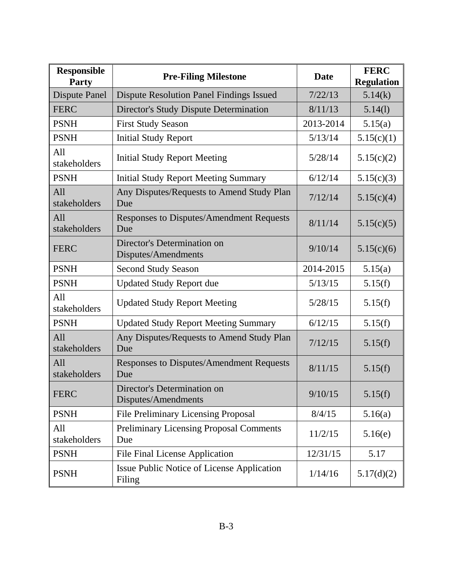| <b>Responsible</b><br><b>Party</b> | <b>Pre-Filing Milestone</b>                           | <b>Date</b> | <b>FERC</b><br><b>Regulation</b> |
|------------------------------------|-------------------------------------------------------|-------------|----------------------------------|
| <b>Dispute Panel</b>               | <b>Dispute Resolution Panel Findings Issued</b>       | 7/22/13     | 5.14(k)                          |
| <b>FERC</b>                        | Director's Study Dispute Determination                | 8/11/13     | 5.14(1)                          |
| <b>PSNH</b>                        | <b>First Study Season</b>                             | 2013-2014   | 5.15(a)                          |
| <b>PSNH</b>                        | <b>Initial Study Report</b>                           | 5/13/14     | 5.15(c)(1)                       |
| All<br>stakeholders                | <b>Initial Study Report Meeting</b>                   | 5/28/14     | 5.15(c)(2)                       |
| <b>PSNH</b>                        | <b>Initial Study Report Meeting Summary</b>           | 6/12/14     | 5.15(c)(3)                       |
| All<br>stakeholders                | Any Disputes/Requests to Amend Study Plan<br>Due      | 7/12/14     | 5.15(c)(4)                       |
| All<br>stakeholders                | Responses to Disputes/Amendment Requests<br>Due       | 8/11/14     | 5.15(c)(5)                       |
| <b>FERC</b>                        | Director's Determination on<br>Disputes/Amendments    | 9/10/14     | 5.15(c)(6)                       |
| <b>PSNH</b>                        | <b>Second Study Season</b>                            | 2014-2015   | 5.15(a)                          |
| <b>PSNH</b>                        | <b>Updated Study Report due</b>                       | 5/13/15     | 5.15(f)                          |
| All<br>stakeholders                | <b>Updated Study Report Meeting</b>                   | 5/28/15     | 5.15(f)                          |
| <b>PSNH</b>                        | <b>Updated Study Report Meeting Summary</b>           | 6/12/15     | 5.15(f)                          |
| All<br>stakeholders                | Any Disputes/Requests to Amend Study Plan<br>Due      | 7/12/15     | 5.15(f)                          |
| All<br>stakeholders                | Responses to Disputes/Amendment Requests<br>Due       | 8/11/15     | 5.15(f)                          |
| <b>FERC</b>                        | Director's Determination on<br>Disputes/Amendments    | 9/10/15     | 5.15(f)                          |
| <b>PSNH</b>                        | <b>File Preliminary Licensing Proposal</b>            | 8/4/15      | 5.16(a)                          |
| All<br>stakeholders                | <b>Preliminary Licensing Proposal Comments</b><br>Due | 11/2/15     | 5.16(e)                          |
| <b>PSNH</b>                        | <b>File Final License Application</b>                 | 12/31/15    | 5.17                             |
| <b>PSNH</b>                        | Issue Public Notice of License Application<br>Filing  | 1/14/16     | 5.17(d)(2)                       |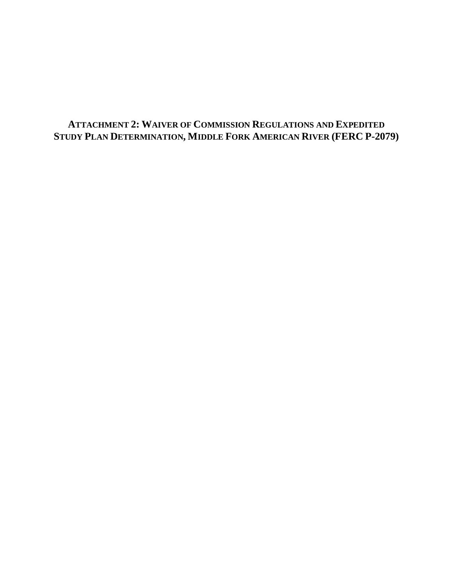# **ATTACHMENT 2: WAIVER OF COMMISSION REGULATIONS AND EXPEDITED STUDY PLAN DETERMINATION, MIDDLE FORK AMERICAN RIVER (FERC P-2079)**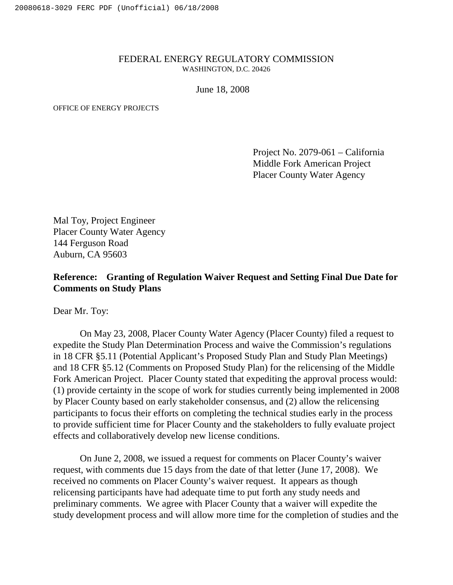#### FEDERAL ENERGY REGULATORY COMMISSION WASHINGTON, D.C. 20426

June 18, 2008

OFFICE OF ENERGY PROJECTS

Project No. 2079-061 – California Middle Fork American Project Placer County Water Agency

Mal Toy, Project Engineer Placer County Water Agency 144 Ferguson Road Auburn, CA 95603

#### **Reference: Granting of Regulation Waiver Request and Setting Final Due Date for Comments on Study Plans**

Dear Mr. Toy:

On May 23, 2008, Placer County Water Agency (Placer County) filed a request to expedite the Study Plan Determination Process and waive the Commission's regulations in 18 CFR §5.11 (Potential Applicant's Proposed Study Plan and Study Plan Meetings) and 18 CFR §5.12 (Comments on Proposed Study Plan) for the relicensing of the Middle Fork American Project. Placer County stated that expediting the approval process would: (1) provide certainty in the scope of work for studies currently being implemented in 2008 by Placer County based on early stakeholder consensus, and (2) allow the relicensing participants to focus their efforts on completing the technical studies early in the process to provide sufficient time for Placer County and the stakeholders to fully evaluate project effects and collaboratively develop new license conditions.

On June 2, 2008, we issued a request for comments on Placer County's waiver request, with comments due 15 days from the date of that letter (June 17, 2008). We received no comments on Placer County's waiver request. It appears as though relicensing participants have had adequate time to put forth any study needs and preliminary comments. We agree with Placer County that a waiver will expedite the study development process and will allow more time for the completion of studies and the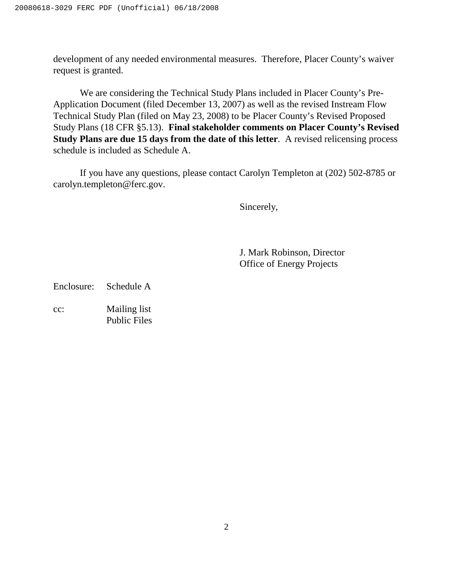development of any needed environmental measures. Therefore, Placer County's waiver request is granted.

We are considering the Technical Study Plans included in Placer County's Pre-Application Document (filed December 13, 2007) as well as the revised Instream Flow Technical Study Plan (filed on May 23, 2008) to be Placer County's Revised Proposed Study Plans (18 CFR §5.13). **Final stakeholder comments on Placer County's Revised Study Plans are due 15 days from the date of this letter**. A revised relicensing process schedule is included as Schedule A.

If you have any questions, please contact Carolyn Templeton at (202) 502-8785 or carolyn.templeton@ferc.gov.

Sincerely,

J. Mark Robinson, Director Office of Energy Projects

Enclosure: Schedule A

cc: Mailing list Public Files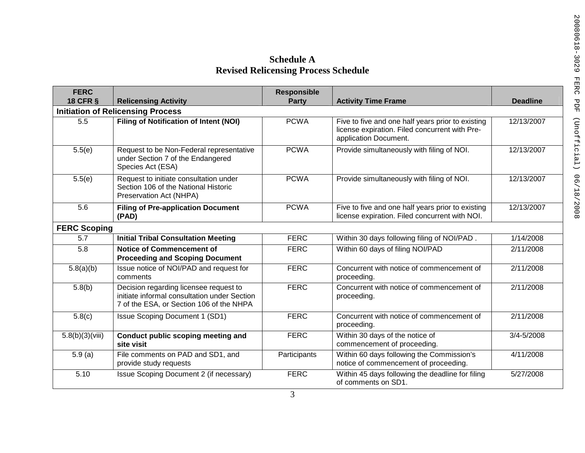# **Schedule A Revised Relicensing Process Schedule**

| <b>FERC</b>         |                                                                                                                                    | <b>Responsible</b> |                                                                                                                              |                 |
|---------------------|------------------------------------------------------------------------------------------------------------------------------------|--------------------|------------------------------------------------------------------------------------------------------------------------------|-----------------|
| <b>18 CFR §</b>     | <b>Relicensing Activity</b><br><b>Initiation of Relicensing Process</b>                                                            | <b>Party</b>       | <b>Activity Time Frame</b>                                                                                                   | <b>Deadline</b> |
| 5.5                 | <b>Filing of Notification of Intent (NOI)</b>                                                                                      | <b>PCWA</b>        | Five to five and one half years prior to existing<br>license expiration. Filed concurrent with Pre-<br>application Document. | 12/13/2007      |
| 5.5(e)              | Request to be Non-Federal representative<br>under Section 7 of the Endangered<br>Species Act (ESA)                                 | <b>PCWA</b>        | Provide simultaneously with filing of NOI.                                                                                   | 12/13/2007      |
| 5.5(e)              | Request to initiate consultation under<br>Section 106 of the National Historic<br>Preservation Act (NHPA)                          | <b>PCWA</b>        | Provide simultaneously with filing of NOI.                                                                                   | 12/13/2007      |
| 5.6                 | <b>Filing of Pre-application Document</b><br>(PAD)                                                                                 | <b>PCWA</b>        | Five to five and one half years prior to existing<br>license expiration. Filed concurrent with NOI.                          | 12/13/2007      |
| <b>FERC Scoping</b> |                                                                                                                                    |                    |                                                                                                                              |                 |
| 5.7                 | <b>Initial Tribal Consultation Meeting</b>                                                                                         | <b>FERC</b>        | Within 30 days following filing of NOI/PAD.                                                                                  | 1/14/2008       |
| 5.8                 | <b>Notice of Commencement of</b><br><b>Proceeding and Scoping Document</b>                                                         | <b>FERC</b>        | Within 60 days of filing NOI/PAD                                                                                             | 2/11/2008       |
| 5.8(a)(b)           | Issue notice of NOI/PAD and request for<br>comments                                                                                | <b>FERC</b>        | Concurrent with notice of commencement of<br>proceeding.                                                                     | 2/11/2008       |
| 5.8(b)              | Decision regarding licensee request to<br>initiate informal consultation under Section<br>7 of the ESA, or Section 106 of the NHPA | <b>FERC</b>        | Concurrent with notice of commencement of<br>proceeding.                                                                     | 2/11/2008       |
| 5.8(c)              | <b>Issue Scoping Document 1 (SD1)</b>                                                                                              | <b>FERC</b>        | Concurrent with notice of commencement of<br>proceeding.                                                                     | 2/11/2008       |
| 5.8(b)(3)(viii)     | Conduct public scoping meeting and<br>site visit                                                                                   | <b>FERC</b>        | Within 30 days of the notice of<br>commencement of proceeding.                                                               | 3/4-5/2008      |
| 5.9(a)              | File comments on PAD and SD1, and<br>provide study requests                                                                        | Participants       | Within 60 days following the Commission's<br>notice of commencement of proceeding.                                           | 4/11/2008       |
| 5.10                | Issue Scoping Document 2 (if necessary)                                                                                            | <b>FERC</b>        | Within 45 days following the deadline for filing<br>of comments on SD1.                                                      | 5/27/2008       |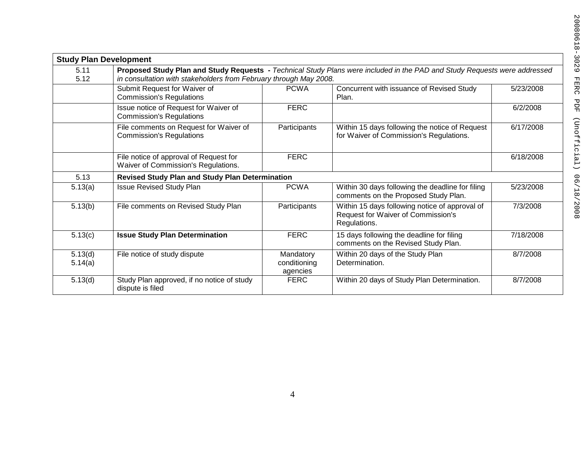|                    | <b>Study Plan Development</b>                                                 |                                       |                                                                                                                           |           |
|--------------------|-------------------------------------------------------------------------------|---------------------------------------|---------------------------------------------------------------------------------------------------------------------------|-----------|
| 5.11<br>5.12       | in consultation with stakeholders from February through May 2008.             |                                       | Proposed Study Plan and Study Requests - Technical Study Plans were included in the PAD and Study Requests were addressed |           |
|                    | Submit Request for Waiver of<br><b>Commission's Regulations</b>               | <b>PCWA</b>                           | Concurrent with issuance of Revised Study<br>Plan.                                                                        | 5/23/2008 |
|                    | Issue notice of Request for Waiver of<br><b>Commission's Regulations</b>      | <b>FERC</b>                           |                                                                                                                           | 6/2/2008  |
|                    | File comments on Request for Waiver of<br><b>Commission's Regulations</b>     | Participants                          | Within 15 days following the notice of Request<br>for Waiver of Commission's Regulations.                                 | 6/17/2008 |
|                    | File notice of approval of Request for<br>Waiver of Commission's Regulations. | <b>FERC</b>                           |                                                                                                                           | 6/18/2008 |
| 5.13               | <b>Revised Study Plan and Study Plan Determination</b>                        |                                       |                                                                                                                           |           |
| 5.13(a)            | <b>Issue Revised Study Plan</b>                                               | <b>PCWA</b>                           | Within 30 days following the deadline for filing<br>comments on the Proposed Study Plan.                                  | 5/23/2008 |
| 5.13(b)            | File comments on Revised Study Plan                                           | Participants                          | Within 15 days following notice of approval of<br>Request for Waiver of Commission's<br>Regulations.                      | 7/3/2008  |
| 5.13(c)            | <b>Issue Study Plan Determination</b>                                         | <b>FERC</b>                           | 15 days following the deadline for filing<br>comments on the Revised Study Plan.                                          | 7/18/2008 |
| 5.13(d)<br>5.14(a) | File notice of study dispute                                                  | Mandatory<br>conditioning<br>agencies | Within 20 days of the Study Plan<br>Determination.                                                                        | 8/7/2008  |
| 5.13(d)            | Study Plan approved, if no notice of study<br>dispute is filed                | <b>FERC</b>                           | Within 20 days of Study Plan Determination.                                                                               | 8/7/2008  |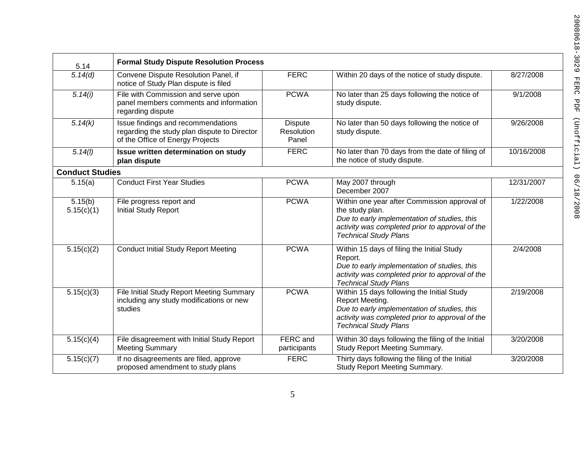| 5.14                   | <b>Formal Study Dispute Resolution Process</b>                                                                         |                                       |                                                                                                                                                                                                    |            |
|------------------------|------------------------------------------------------------------------------------------------------------------------|---------------------------------------|----------------------------------------------------------------------------------------------------------------------------------------------------------------------------------------------------|------------|
| $\sqrt{5}$ . 14(d)     | Convene Dispute Resolution Panel, if<br>notice of Study Plan dispute is filed                                          | <b>FERC</b>                           | Within 20 days of the notice of study dispute.                                                                                                                                                     | 8/27/2008  |
| 5.14(i)                | File with Commission and serve upon<br>panel members comments and information<br>regarding dispute                     | <b>PCWA</b>                           | No later than 25 days following the notice of<br>study dispute.                                                                                                                                    | 9/1/2008   |
| 5.14(k)                | Issue findings and recommendations<br>regarding the study plan dispute to Director<br>of the Office of Energy Projects | <b>Dispute</b><br>Resolution<br>Panel | No later than 50 days following the notice of<br>study dispute.                                                                                                                                    | 9/26/2008  |
| 5.14(l)                | Issue written determination on study<br>plan dispute                                                                   | <b>FERC</b>                           | No later than 70 days from the date of filing of<br>the notice of study dispute.                                                                                                                   | 10/16/2008 |
| <b>Conduct Studies</b> |                                                                                                                        |                                       |                                                                                                                                                                                                    |            |
| 5.15(a)                | <b>Conduct First Year Studies</b>                                                                                      | <b>PCWA</b>                           | May 2007 through<br>December 2007                                                                                                                                                                  | 12/31/2007 |
| 5.15(b)<br>5.15(c)(1)  | File progress report and<br><b>Initial Study Report</b>                                                                | <b>PCWA</b>                           | Within one year after Commission approval of<br>the study plan.<br>Due to early implementation of studies, this<br>activity was completed prior to approval of the<br><b>Technical Study Plans</b> | 1/22/2008  |
| 5.15(c)(2)             | <b>Conduct Initial Study Report Meeting</b>                                                                            | <b>PCWA</b>                           | Within 15 days of filing the Initial Study<br>Report.<br>Due to early implementation of studies, this<br>activity was completed prior to approval of the<br><b>Technical Study Plans</b>           | 2/4/2008   |
| 5.15(c)(3)             | File Initial Study Report Meeting Summary<br>including any study modifications or new<br>studies                       | <b>PCWA</b>                           | Within 15 days following the Initial Study<br>Report Meeting.<br>Due to early implementation of studies, this<br>activity was completed prior to approval of the<br><b>Technical Study Plans</b>   | 2/19/2008  |
| 5.15(c)(4)             | File disagreement with Initial Study Report<br><b>Meeting Summary</b>                                                  | FERC and<br>participants              | Within 30 days following the filing of the Initial<br>Study Report Meeting Summary.                                                                                                                | 3/20/2008  |
| 5.15(c)(7)             | If no disagreements are filed, approve<br>proposed amendment to study plans                                            | <b>FERC</b>                           | Thirty days following the filing of the Initial<br>Study Report Meeting Summary.                                                                                                                   | 3/20/2008  |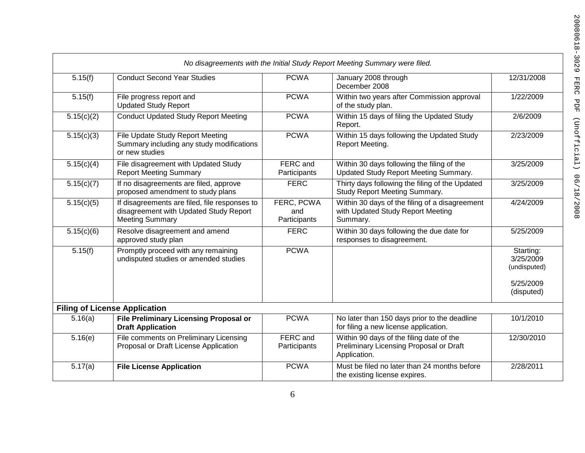|                       |                                                                                                                   |                                   | No disagreements with the Initial Study Report Meeting Summary were filed.                          |                                        |
|-----------------------|-------------------------------------------------------------------------------------------------------------------|-----------------------------------|-----------------------------------------------------------------------------------------------------|----------------------------------------|
| $\overline{5.15}$ (f) | <b>Conduct Second Year Studies</b>                                                                                | <b>PCWA</b>                       | January 2008 through<br>December 2008                                                               | 12/31/2008                             |
| 5.15(f)               | File progress report and<br><b>Updated Study Report</b>                                                           | <b>PCWA</b>                       | Within two years after Commission approval<br>of the study plan.                                    | 1/22/2009                              |
| 5.15(c)(2)            | <b>Conduct Updated Study Report Meeting</b>                                                                       | <b>PCWA</b>                       | Within 15 days of filing the Updated Study<br>Report.                                               | 2/6/2009                               |
| 5.15(c)(3)            | File Update Study Report Meeting<br>Summary including any study modifications<br>or new studies                   | <b>PCWA</b>                       | Within 15 days following the Updated Study<br>Report Meeting.                                       | 2/23/2009                              |
| 5.15(c)(4)            | File disagreement with Updated Study<br><b>Report Meeting Summary</b>                                             | FERC and<br>Participants          | Within 30 days following the filing of the<br>Updated Study Report Meeting Summary.                 | 3/25/2009                              |
| 5.15(c)(7)            | If no disagreements are filed, approve<br>proposed amendment to study plans                                       | <b>FERC</b>                       | Thirty days following the filing of the Updated<br>Study Report Meeting Summary.                    | 3/25/2009                              |
| 5.15(c)(5)            | If disagreements are filed, file responses to<br>disagreement with Updated Study Report<br><b>Meeting Summary</b> | FERC, PCWA<br>and<br>Participants | Within 30 days of the filing of a disagreement<br>with Updated Study Report Meeting<br>Summary.     | 4/24/2009                              |
| 5.15(c)(6)            | Resolve disagreement and amend<br>approved study plan                                                             | <b>FERC</b>                       | Within 30 days following the due date for<br>responses to disagreement.                             | 5/25/2009                              |
| 5.15(f)               | Promptly proceed with any remaining<br>undisputed studies or amended studies                                      | <b>PCWA</b>                       |                                                                                                     | Starting:<br>3/25/2009<br>(undisputed) |
|                       |                                                                                                                   |                                   |                                                                                                     | 5/25/2009<br>(disputed)                |
|                       | <b>Filing of License Application</b>                                                                              |                                   |                                                                                                     |                                        |
| 5.16(a)               | <b>File Preliminary Licensing Proposal or</b><br><b>Draft Application</b>                                         | <b>PCWA</b>                       | No later than 150 days prior to the deadline<br>for filing a new license application.               | 10/1/2010                              |
| 5.16(e)               | File comments on Preliminary Licensing<br>Proposal or Draft License Application                                   | FERC and<br>Participants          | Within 90 days of the filing date of the<br>Preliminary Licensing Proposal or Draft<br>Application. | 12/30/2010                             |
| 5.17(a)               | <b>File License Application</b>                                                                                   | <b>PCWA</b>                       | Must be filed no later than 24 months before<br>the existing license expires.                       | 2/28/2011                              |